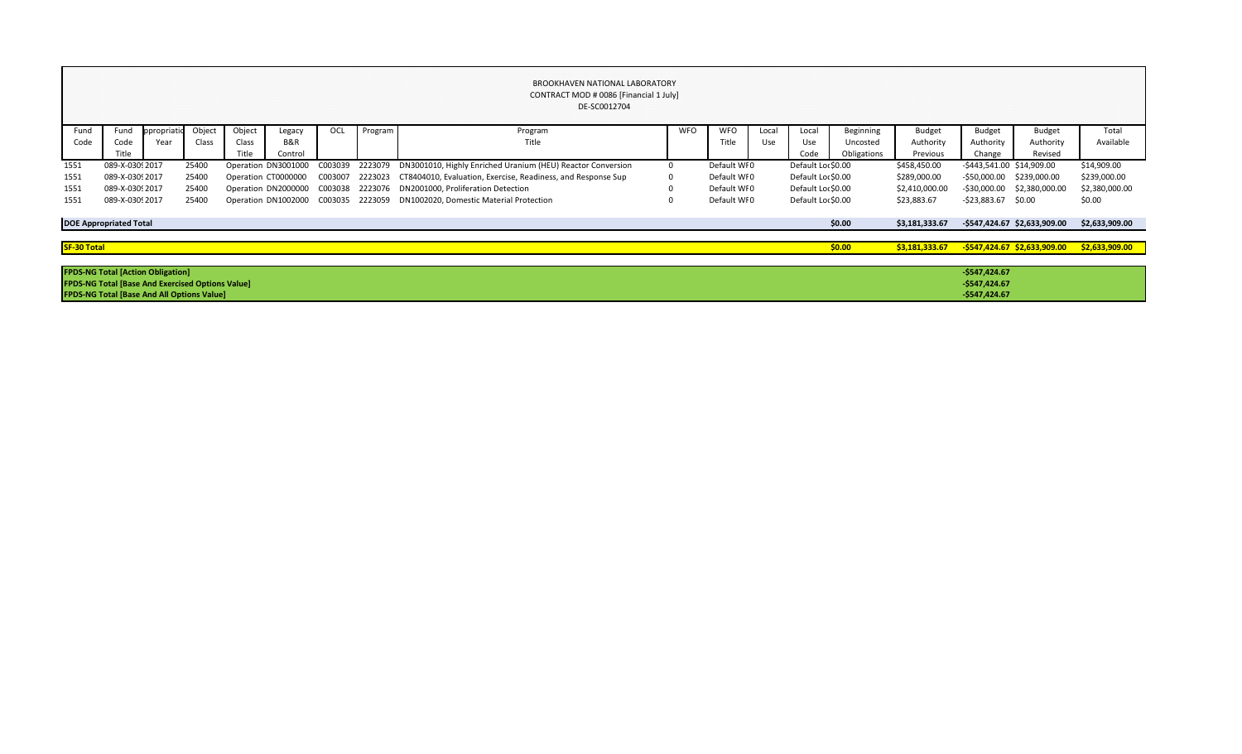|             |                                                         |             |        |        |                                     |         |         | <b>BROOKHAVEN NATIONAL LABORATORY</b><br>CONTRACT MOD # 0086 [Financial 1 July]<br>DE-SC0012704 |            |             |       |                    |             |                |                           |                              |                |
|-------------|---------------------------------------------------------|-------------|--------|--------|-------------------------------------|---------|---------|-------------------------------------------------------------------------------------------------|------------|-------------|-------|--------------------|-------------|----------------|---------------------------|------------------------------|----------------|
| Fund        | Fund                                                    | ppropriatic | Object | Object | Legacy                              | OCL     | Program | Program                                                                                         | <b>WFO</b> | <b>WFO</b>  | Local | Local              | Beginning   | <b>Budget</b>  | <b>Budget</b>             | <b>Budget</b>                | Total          |
| Code        | Code                                                    | Year        | Class  | Class  | <b>B&amp;R</b>                      |         |         | Title                                                                                           |            | Title       | Use   | Use                | Uncosted    | Authority      | Authority                 | Authority                    | Available      |
|             | Title                                                   |             |        | Title  | Control                             |         |         |                                                                                                 |            |             |       | Code               | Obligations | Previous       | Change                    | Revised                      |                |
| 1551        | 089-X-0309 2017                                         |             | 25400  |        | Operation DN3001000                 | C003039 | 2223079 | DN3001010, Highly Enriched Uranium (HEU) Reactor Conversion                                     |            | Default WI0 |       | Default Loc \$0.00 |             | \$458,450.00   | -\$443,541.00 \$14,909.00 |                              | \$14,909.00    |
| 1551        | 089-X-0309 2017                                         |             | 25400  |        | Operation CT0000000                 | C003007 | 2223023 | CT8404010, Evaluation, Exercise, Readiness, and Response Sup                                    |            | Default WI0 |       | Default Loc \$0.00 |             | \$289,000.00   | $-$ \$50,000.00           | \$239,000.00                 | \$239,000.00   |
| 1551        | 089-X-0309 2017                                         |             | 25400  |        | Operation DN2000000                 | C003038 | 2223076 | DN2001000, Proliferation Detection                                                              |            | Default WI0 |       | Default Loc \$0.00 |             | \$2,410,000.00 |                           | -\$30,000.00 \$2,380,000.00  | \$2,380,000.00 |
| 1551        | 089-X-0309 2017                                         |             | 25400  |        | Operation DN1002000 C003035 2223059 |         |         | DN1002020, Domestic Material Protection                                                         |            | Default WI0 |       | Default Loc \$0.00 |             | \$23,883.67    | $-523,883.67$ \$0.00      |                              | \$0.00         |
|             | <b>DOE Appropriated Total</b>                           |             |        |        |                                     |         |         |                                                                                                 |            |             |       |                    | \$0.00      | \$3,181,333.67 |                           | -\$547,424.67 \$2,633,909.00 | \$2,633,909.00 |
| SF-30 Total |                                                         |             |        |        |                                     |         |         |                                                                                                 |            |             |       |                    | \$0.00      | \$3,181,333.67 |                           | -\$547,424.67 \$2,633,909.00 | \$2,633,909.00 |
|             |                                                         |             |        |        |                                     |         |         |                                                                                                 |            |             |       |                    |             |                |                           |                              |                |
|             | <b>FPDS-NG Total [Action Obligation]</b>                |             |        |        |                                     |         |         |                                                                                                 |            |             |       |                    |             |                | $-$547,424.67$            |                              |                |
|             | <b>FPDS-NG Total [Base And Exercised Options Value]</b> |             |        |        |                                     |         |         |                                                                                                 |            |             |       |                    |             |                | $-$547,424.67$            |                              |                |
|             | <b>FPDS-NG Total [Base And All Options Value]</b>       |             |        |        |                                     |         |         |                                                                                                 |            |             |       |                    |             |                | $-$547,424.67$            |                              |                |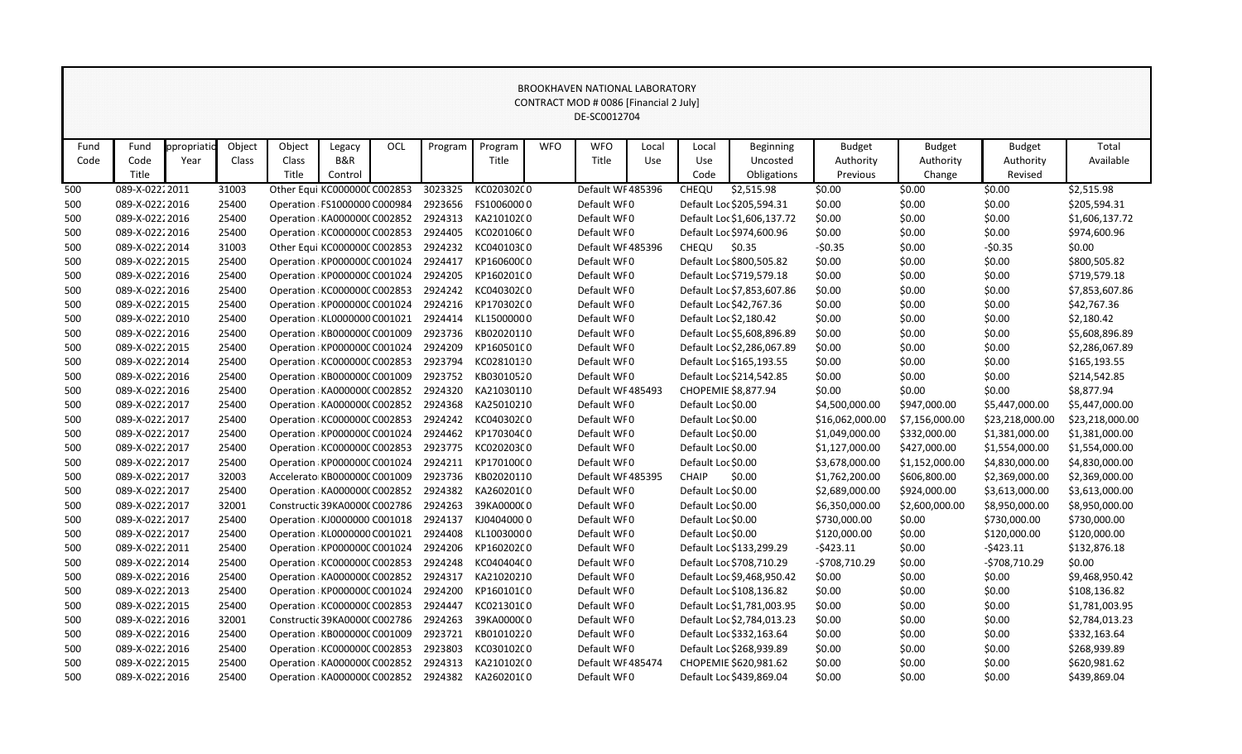|      |                 |            |        |                               |                |     |         |                                               |            | CONTRACT MOD # 0086 [Financial 2 July] |       |                        |                            |                 |                |                 |                 |
|------|-----------------|------------|--------|-------------------------------|----------------|-----|---------|-----------------------------------------------|------------|----------------------------------------|-------|------------------------|----------------------------|-----------------|----------------|-----------------|-----------------|
|      |                 |            |        |                               |                |     |         |                                               |            | DE-SC0012704                           |       |                        |                            |                 |                |                 |                 |
|      |                 |            |        |                               |                |     |         |                                               |            |                                        |       |                        |                            |                 |                |                 |                 |
| Fund | Fund            | ppropriati | Object | Object                        | Legacy         | OCL | Program | Program                                       | <b>WFO</b> | <b>WFO</b>                             | Local | Local                  | <b>Beginning</b>           | <b>Budget</b>   | <b>Budget</b>  | <b>Budget</b>   | Total           |
| Code | Code            | Year       | Class  | Class                         | <b>B&amp;R</b> |     |         | Title                                         |            | Title                                  | Use   | <b>Use</b>             | Uncosted                   | Authority       | Authority      | Authority       | Available       |
|      | Title           |            |        | Title                         | Control        |     |         |                                               |            |                                        |       | Code                   | Obligations                | Previous        | Change         | Revised         |                 |
| 500  | 089-X-02222011  |            | 31003  | Other Equi KC000000CC002853   |                |     | 3023325 | KC020302C0                                    |            | Default WF485396                       |       | CHEQU                  | \$2,515.98                 | \$0.00          | \$0.00         | \$0.00          | \$2,515.98      |
| 500  | 089-X-02222016  |            | 25400  | Operation : FS1000000 C000984 |                |     | 2923656 | FS10060000                                    |            | Default WF0                            |       |                        | Default Loc \$205,594.31   | \$0.00          | \$0.00         | \$0.00          | \$205,594.31    |
| 500  | 089-X-02222016  |            | 25400  | Operation KA000000C C002852   |                |     | 2924313 | KA210102(0                                    |            | Default WF0                            |       |                        | Default Loc \$1,606,137.72 | \$0.00          | \$0.00         | \$0.00          | \$1,606,137.72  |
| 500  | 089-X-02222016  |            | 25400  | Operation: KC000000C C002853  |                |     | 2924405 | KC020106C0                                    |            | Default WF0                            |       |                        | Default Loc \$974,600.96   | \$0.00          | \$0.00         | \$0.00          | \$974,600.96    |
| 500  | 089-X-0222 2014 |            | 31003  | Other Equi KC000000C C002853  |                |     | 2924232 | KC040103C0                                    |            | Default WF 485396                      |       | <b>CHEQU</b>           | \$0.35                     | $-50.35$        | \$0.00         | $-50.35$        | \$0.00          |
| 500  | 089-X-02222015  |            | 25400  | Operation : KP000000C C001024 |                |     | 2924417 | KP160600C0                                    |            | Default WF0                            |       |                        | Default Loc \$800,505.82   | \$0.00          | \$0.00         | \$0.00          | \$800,505.82    |
| 500  | 089-X-02222016  |            | 25400  | Operation : KP000000C C001024 |                |     | 2924205 | KP160201C0                                    |            | Default WF0                            |       |                        | Default Loc \$719,579.18   | \$0.00          | \$0.00         | \$0.00          | \$719,579.18    |
| 500  | 089-X-02222016  |            | 25400  | Operation KC000000C C002853   |                |     | 2924242 | KC040302C0                                    |            | Default WF0                            |       |                        | Default Loc \$7,853,607.86 | \$0.00          | \$0.00         | \$0.00          | \$7,853,607.86  |
| 500  | 089-X-02222015  |            | 25400  | Operation : KP000000C C001024 |                |     | 2924216 | KP170302C0                                    |            | Default WF0                            |       |                        | Default Loc \$42,767.36    | \$0.00          | \$0.00         | \$0.00          | \$42,767.36     |
| 500  | 089-X-02222010  |            | 25400  | Operation KL0000000 C001021   |                |     | 2924414 | KL15000000                                    |            | Default WF0                            |       | Default Loc \$2,180.42 |                            | \$0.00          | \$0.00         | \$0.00          | \$2,180.42      |
| 500  | 089-X-02222016  |            | 25400  | Operation: KB000000C C001009  |                |     | 2923736 | KB02020110                                    |            | Default WF0                            |       |                        | Default Loc \$5,608,896.89 | \$0.00          | \$0.00         | \$0.00          | \$5,608,896.89  |
| 500  | 089-X-02222015  |            | 25400  | Operation KP000000C C001024   |                |     | 2924209 | KP160501C0                                    |            | Default WF0                            |       |                        | Default Loc \$2,286,067.89 | \$0.00          | \$0.00         | \$0.00          | \$2,286,067.89  |
| 500  | 089-X-0222 2014 |            | 25400  | Operation KC000000C C002853   |                |     | 2923794 | KC02810130                                    |            | Default WF0                            |       |                        | Default Loc \$165,193.55   | \$0.00          | \$0.00         | \$0.00          | \$165,193.55    |
| 500  | 089-X-02222016  |            | 25400  | Operation KB000000C C001009   |                |     | 2923752 | KB03010520                                    |            | Default WF0                            |       |                        | Default Loc \$214,542.85   | \$0.00          | \$0.00         | \$0.00          | \$214,542.85    |
| 500  | 089-X-02222016  |            | 25400  | Operation: KA0000000 C002852  |                |     | 2924320 | KA21030110                                    |            | Default WF 485493                      |       | CHOPEMIE \$8,877.94    |                            | \$0.00          | \$0.00         | \$0.00          | \$8,877.94      |
| 500  | 089-X-02222017  |            | 25400  | Operation KA000000C C002852   |                |     | 2924368 | KA25010210                                    |            | Default WF0                            |       | Default Loc \$0.00     |                            | \$4,500,000.00  | \$947,000.00   | \$5,447,000.00  | \$5,447,000.00  |
| 500  | 089-X-02222017  |            | 25400  | Operation KC000000C C002853   |                |     | 2924242 | KC040302C0                                    |            | Default WF0                            |       | Default Loc \$0.00     |                            | \$16,062,000.00 | \$7,156,000.00 | \$23,218,000.00 | \$23,218,000.00 |
| 500  | 089-X-02222017  |            | 25400  | Operation : KP000000C C001024 |                |     | 2924462 | KP170304C0                                    |            | Default WF0                            |       | Default Loc \$0.00     |                            | \$1,049,000.00  | \$332,000.00   | \$1,381,000.00  | \$1,381,000.00  |
| 500  | 089-X-02222017  |            | 25400  | Operation: KC000000C C002853  |                |     | 2923775 | KC020203C0                                    |            | Default WF0                            |       | Default Loc \$0.00     |                            | \$1,127,000.00  | \$427,000.00   | \$1,554,000.00  | \$1,554,000.00  |
| 500  | 089-X-02222017  |            | 25400  | Operation KP000000C C001024   |                |     | 2924211 | KP170100C0                                    |            | Default WF0                            |       | Default Loc \$0.00     |                            | \$3,678,000.00  | \$1,152,000.00 | \$4,830,000.00  | \$4,830,000.00  |
| 500  | 089-X-02222017  |            | 32003  | Accelerato KB000000C C001009  |                |     | 2923736 | KB02020110                                    |            | Default WF 485395                      |       | <b>CHAIP</b>           | \$0.00                     | \$1,762,200.00  | \$606,800.00   | \$2,369,000.00  | \$2,369,000.00  |
| 500  | 089-X-02222017  |            | 25400  | Operation KA000000C C002852   |                |     | 2924382 | KA260201(0                                    |            | Default WF0                            |       | Default Loc \$0.00     |                            | \$2,689,000.00  | \$924,000.00   | \$3,613,000.00  | \$3,613,000.00  |
| 500  | 089-X-02222017  |            | 32001  | Constructic 39KA0000C C002786 |                |     | 2924263 | 39KA0000C0                                    |            | Default WF0                            |       | Default Loc \$0.00     |                            | \$6,350,000.00  | \$2,600,000.00 | \$8,950,000.00  | \$8,950,000.00  |
| 500  | 089-X-02222017  |            | 25400  | Operation: KJ0000000 C001018  |                |     | 2924137 | KJ04040000                                    |            | Default WF0                            |       | Default Loc \$0.00     |                            | \$730,000.00    | \$0.00         | \$730,000.00    | \$730,000.00    |
| 500  | 089-X-02222017  |            | 25400  | Operation KL0000000 C001021   |                |     | 2924408 | KL10030000                                    |            | Default WF0                            |       | Default Loc \$0.00     |                            | \$120,000.00    | \$0.00         | \$120,000.00    | \$120,000.00    |
| 500  | 089-X-0222 2011 |            | 25400  |                               |                |     |         | Operation KP000000CC001024 2924206 KP160202C0 |            | Default WF0                            |       |                        | Default Loc \$133,299.29   | $-5423.11$      | \$0.00         | $-5423.11$      | \$132,876.18    |
| 500  | 089-X-02222014  |            | 25400  | Operation KC000000C C002853   |                |     | 2924248 | KC040404C0                                    |            | Default WF0                            |       |                        | Default Loc \$708,710.29   | $-5708,710.29$  | \$0.00         | -\$708,710.29   | \$0.00          |
| 500  | 089-X-02222016  |            | 25400  | Operation: KA000000C C002852  |                |     | 2924317 | KA21020210                                    |            | Default WF0                            |       |                        | Default Loc \$9,468,950.42 | \$0.00          | \$0.00         | \$0.00          | \$9,468,950.42  |
| 500  | 089-X-02222013  |            | 25400  | Operation: KP000000C C001024  |                |     | 2924200 | KP160101C0                                    |            | Default WF0                            |       |                        | Default Loc \$108,136.82   | \$0.00          | \$0.00         | \$0.00          | \$108,136.82    |
| 500  | 089-X-02222015  |            | 25400  | Operation: KC000000C C002853  |                |     | 2924447 | KC021301C0                                    |            | Default WF0                            |       |                        | Default Loc \$1,781,003.95 | \$0.00          | \$0.00         | \$0.00          | \$1,781,003.95  |
| 500  | 089-X-02222016  |            | 32001  | Constructic 39KA0000C C002786 |                |     | 2924263 | 39KA0000C0                                    |            | Default WF0                            |       |                        | Default Loc \$2,784,013.23 | \$0.00          | \$0.00         | \$0.00          | \$2,784,013.23  |
| 500  | 089-X-02222016  |            | 25400  | Operation: KB000000C C001009  |                |     | 2923721 | KB01010220                                    |            | Default WF0                            |       |                        | Default Loc \$332,163.64   | \$0.00          | \$0.00         | \$0.00          | \$332,163.64    |
| 500  | 089-X-02222016  |            | 25400  | Operation: KC000000C C002853  |                |     | 2923803 | KC030102C0                                    |            | Default WF0                            |       |                        | Default Loc \$268,939.89   | \$0.00          | \$0.00         | \$0.00          | \$268,939.89    |
| 500  | 089-X-02222015  |            | 25400  | Operation KA0000000 C002852   |                |     | 2924313 | KA21010200                                    |            | Default WF 485474                      |       |                        | CHOPEMIE \$620,981.62      | \$0.00          | \$0.00         | \$0.00          | \$620,981.62    |
| 500  | 089-X-02222016  |            | 25400  | Operation KA0000000 C002852   |                |     |         | 2924382 KA260201(0                            |            | Default WF0                            |       |                        | Default Loc \$439,869.04   | \$0.00          | \$0.00         | \$0.00          | \$439,869.04    |

## BROOKHAVEN NATIONAL LABORATORY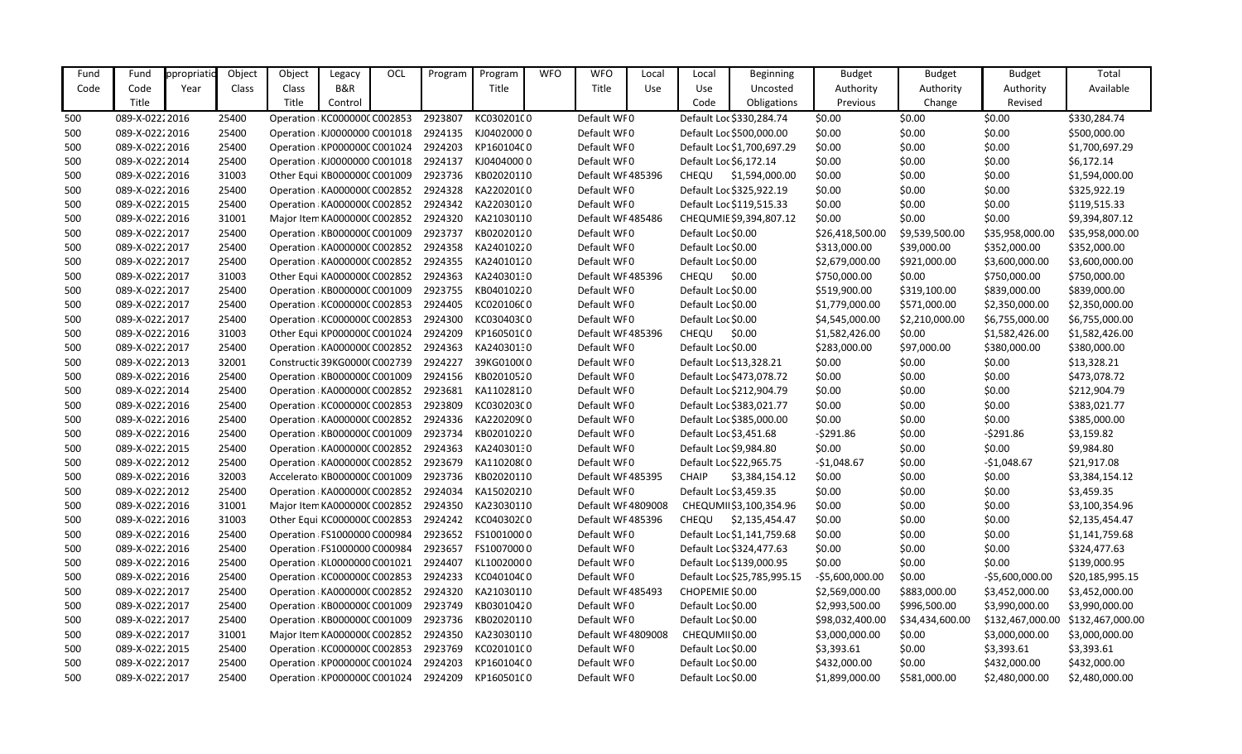| Fund | Fund            | ppropriatio | Object | Object                        | Legacy                       | OCL | Program | Program    | <b>WFO</b> | <b>WFO</b>         | Local | Local                  | <b>Beginning</b>            | <b>Budget</b>    | <b>Budget</b>   | <b>Budget</b>    | Total            |
|------|-----------------|-------------|--------|-------------------------------|------------------------------|-----|---------|------------|------------|--------------------|-------|------------------------|-----------------------------|------------------|-----------------|------------------|------------------|
| Code | Code            | Year        | Class  | Class                         | B&R                          |     |         | Title      |            | Title              | Use   | Use                    | Uncosted                    | Authority        | Authority       | Authority        | Available        |
|      | Title           |             |        | Title                         | Control                      |     |         |            |            |                    |       | Code                   | Obligations                 | Previous         | Change          | Revised          |                  |
| 500  | 089-X-0222 2016 |             | 25400  |                               | Operation: KC000000C C002853 |     | 2923807 | KC030201C0 |            | Default WF0        |       |                        | Default Loc \$330,284.74    | \$0.00           | \$0.00          | \$0.00           | \$330,284.74     |
| 500  | 089-X-02222016  |             | 25400  | Operation KJ0000000 C001018   |                              |     | 2924135 | KJ04020000 |            | Default WF0        |       |                        | Default Loc \$500,000.00    | \$0.00           | \$0.00          | \$0.00           | \$500,000.00     |
| 500  | 089-X-02222016  |             | 25400  | Operation KP000000C C001024   |                              |     | 2924203 | KP160104C0 |            | Default WF0        |       |                        | Default Loc \$1,700,697.29  | \$0.00           | \$0.00          | \$0.00           | \$1,700,697.29   |
| 500  | 089-X-02222014  |             | 25400  | Operation KJ0000000 C001018   |                              |     | 2924137 | KJ04040000 |            | Default WF0        |       | Default Loc \$6,172.14 |                             | \$0.00           | \$0.00          | \$0.00           | \$6,172.14       |
| 500  | 089-X-02222016  |             | 31003  |                               | Other Equi KB000000C C001009 |     | 2923736 | KB02020110 |            | Default WF 485396  |       | <b>CHEQU</b>           | \$1,594,000.00              | \$0.00           | \$0.00          | \$0.00           | \$1,594,000.00   |
| 500  | 089-X-02222016  |             | 25400  | Operation KA0000000 C002852   |                              |     | 2924328 | KA220201(0 |            | Default WF0        |       |                        | Default Loc \$325,922.19    | \$0.00           | \$0.00          | \$0.00           | \$325,922.19     |
| 500  | 089-X-02222015  |             | 25400  | Operation KA0000000 C002852   |                              |     | 2924342 | KA22030120 |            | Default WF0        |       |                        | Default Loc \$119,515.33    | \$0.00           | \$0.00          | \$0.00           | \$119,515.33     |
| 500  | 089-X-02222016  |             | 31001  |                               | Major Item KA0000000 C002852 |     | 2924320 | KA21030110 |            | Default WF 485486  |       |                        | CHEQUMIE \$9,394,807.12     | \$0.00           | \$0.00          | \$0.00           | \$9,394,807.12   |
| 500  | 089-X-02222017  |             | 25400  | Operation KB000000C C001009   |                              |     | 2923737 | KB02020120 |            | Default WF0        |       | Default Loc \$0.00     |                             | \$26,418,500.00  | \$9,539,500.00  | \$35,958,000.00  | \$35,958,000.00  |
| 500  | 089-X-02222017  |             | 25400  |                               | Operation: KA0000000 C002852 |     | 2924358 | KA24010220 |            | Default WF0        |       | Default Loc \$0.00     |                             | \$313,000.00     | \$39,000.00     | \$352,000.00     | \$352,000.00     |
| 500  | 089-X-02222017  |             | 25400  | Operation KA0000000 C002852   |                              |     | 2924355 | KA24010120 |            | Default WF0        |       | Default Loc \$0.00     |                             | \$2,679,000.00   | \$921,000.00    | \$3,600,000.00   | \$3,600,000.00   |
| 500  | 089-X-02222017  |             | 31003  | Other Equi KA000000(C002852   |                              |     | 2924363 | KA24030130 |            | Default WF 485396  |       | CHEQU                  | \$0.00                      | \$750,000.00     | \$0.00          | \$750,000.00     | \$750,000.00     |
| 500  | 089-X-02222017  |             | 25400  | Operation KB000000C C001009   |                              |     | 2923755 | KB04010220 |            | Default WF0        |       | Default Loc \$0.00     |                             | \$519,900.00     | \$319,100.00    | \$839,000.00     | \$839,000.00     |
| 500  | 089-X-02222017  |             | 25400  | Operation KC000000C C002853   |                              |     | 2924405 | KC020106C0 |            | Default WF0        |       | Default Loc \$0.00     |                             | \$1,779,000.00   | \$571,000.00    | \$2,350,000.00   | \$2,350,000.00   |
| 500  | 089-X-02222017  |             | 25400  | Operation KC000000C C002853   |                              |     | 2924300 | KC030403C0 |            | Default WF0        |       | Default Loc \$0.00     |                             | \$4,545,000.00   | \$2,210,000.00  | \$6,755,000.00   | \$6,755,000.00   |
| 500  | 089-X-02222016  |             | 31003  |                               | Other Equi KP000000C C001024 |     | 2924209 | KP160501C0 |            | Default WF 485396  |       | <b>CHEQU</b>           | \$0.00                      | \$1,582,426.00   | \$0.00          | \$1,582,426.00   | \$1,582,426.00   |
| 500  | 089-X-02222017  |             | 25400  | Operation KA0000000 C002852   |                              |     | 2924363 | KA24030130 |            | Default WF0        |       | Default Loc \$0.00     |                             | \$283,000.00     | \$97,000.00     | \$380,000.00     | \$380,000.00     |
| 500  | 089-X-02222013  |             | 32001  |                               | Constructic 39KG0000(C002739 |     | 2924227 | 39KG0100(0 |            | Default WF0        |       |                        | Default Loc \$13,328.21     | \$0.00           | \$0.00          | \$0.00           | \$13,328.21      |
| 500  | 089-X-0222 2016 |             | 25400  | Operation KB000000C C001009   |                              |     | 2924156 | KB02010520 |            | Default WF0        |       |                        | Default Loc \$473,078.72    | \$0.00           | \$0.00          | \$0.00           | \$473,078.72     |
| 500  | 089-X-02222014  |             | 25400  | Operation KA0000000 C002852   |                              |     | 2923681 | KA11028120 |            | Default WF0        |       |                        | Default Loc \$212,904.79    | \$0.00           | \$0.00          | \$0.00           | \$212,904.79     |
| 500  | 089-X-02222016  |             | 25400  |                               | Operation: KC000000C C002853 |     | 2923809 | KC030203C0 |            | Default WF0        |       |                        | Default Loc \$383,021.77    | \$0.00           | \$0.00          | \$0.00           | \$383,021.77     |
| 500  | 089-X-02222016  |             | 25400  | Operation KA0000000 C002852   |                              |     | 2924336 | KA220209(0 |            | Default WF0        |       |                        | Default Loc \$385,000.00    | \$0.00           | \$0.00          | \$0.00           | \$385,000.00     |
| 500  | 089-X-02222016  |             | 25400  | Operation KB000000C C001009   |                              |     | 2923734 | KB02010220 |            | Default WF0        |       | Default Loc \$3,451.68 |                             | -\$291.86        | \$0.00          | $-5291.86$       | \$3,159.82       |
| 500  | 089-X-02222015  |             | 25400  | Operation KA0000000 C002852   |                              |     | 2924363 | KA24030130 |            | Default WF0        |       |                        | Default Loc \$9,984.80      | \$0.00           | \$0.00          | \$0.00           | \$9,984.80       |
| 500  | 089-X-02222012  |             | 25400  | Operation KA0000000 C002852   |                              |     | 2923679 | KA11020800 |            | Default WF0        |       |                        | Default Loc \$22,965.75     | $-51,048.67$     | \$0.00          | $-51,048.67$     | \$21,917.08      |
| 500  | 089-X-02222016  |             | 32003  | Accelerato KB000000C C001009  |                              |     | 2923736 | KB02020110 |            | Default WF485395   |       | <b>CHAIP</b>           | \$3,384,154.12              | \$0.00           | \$0.00          | \$0.00           | \$3,384,154.12   |
| 500  | 089-X-02222012  |             | 25400  | Operation KA0000000 C002852   |                              |     | 2924034 | KA15020210 |            | Default WF0        |       | Default Loc \$3,459.35 |                             | \$0.00           | \$0.00          | \$0.00           | \$3,459.35       |
| 500  | 089-X-02222016  |             | 31001  | Major Item KA0000000 C002852  |                              |     | 2924350 | KA23030110 |            | Default WF 4809008 |       |                        | CHEQUMII\$3,100,354.96      | \$0.00           | \$0.00          | \$0.00           | \$3,100,354.96   |
| 500  | 089-X-0222 2016 |             | 31003  | Other Equi KC000000CC002853   |                              |     | 2924242 | KC040302C0 |            | Default WF 485396  |       |                        | CHEQU \$2,135,454.47        | \$0.00           | \$0.00          | \$0.00           | \$2,135,454.47   |
| 500  | 089-X-0222 2016 |             | 25400  | Operation : FS1000000 C000984 |                              |     | 2923652 | FS10010000 |            | Default WF0        |       |                        | Default Loc \$1,141,759.68  | \$0.00           | \$0.00          | \$0.00           | \$1,141,759.68   |
| 500  | 089-X-02222016  |             | 25400  | Operation : FS1000000 C000984 |                              |     | 2923657 | FS10070000 |            | Default WF0        |       |                        | Default Loc \$324,477.63    | \$0.00           | \$0.00          | \$0.00           | \$324,477.63     |
| 500  | 089-X-0222 2016 |             | 25400  | Operation KL0000000 C001021   |                              |     | 2924407 | KL10020000 |            | Default WF0        |       |                        | Default Loc \$139,000.95    | \$0.00           | \$0.00          | \$0.00           | \$139,000.95     |
| 500  | 089-X-0222 2016 |             | 25400  | Operation KC000000C C002853   |                              |     | 2924233 | KC040104C0 |            | Default WF0        |       |                        | Default Loc \$25,785,995.15 | $-55,600,000.00$ | \$0.00          | $-55,600,000.00$ | \$20,185,995.15  |
| 500  | 089-X-02222017  |             | 25400  | Operation KA0000000 C002852   |                              |     | 2924320 | KA21030110 |            | Default WF485493   |       | CHOPEMIE \$0.00        |                             | \$2,569,000.00   | \$883,000.00    | \$3,452,000.00   | \$3,452,000.00   |
| 500  | 089-X-02222017  |             | 25400  | Operation KB000000C C001009   |                              |     | 2923749 | KB03010420 |            | Default WF0        |       | Default Loc \$0.00     |                             | \$2,993,500.00   | \$996,500.00    | \$3,990,000.00   | \$3,990,000.00   |
| 500  | 089-X-02222017  |             | 25400  | Operation KB000000C C001009   |                              |     | 2923736 | KB02020110 |            | Default WF0        |       | Default Loc \$0.00     |                             | \$98,032,400.00  | \$34,434,600.00 | \$132,467,000.00 | \$132,467,000.00 |
| 500  | 089-X-02222017  |             | 31001  | Major Item KA0000000 C002852  |                              |     | 2924350 | KA23030110 |            | Default WF 4809008 |       | CHEQUMII \$0.00        |                             | \$3,000,000.00   | \$0.00          | \$3,000,000.00   | \$3,000,000.00   |
| 500  | 089-X-02222015  |             | 25400  | Operation KC000000C C002853   |                              |     | 2923769 | KC020101C0 |            | Default WF0        |       | Default Loc \$0.00     |                             | \$3,393.61       | \$0.00          | \$3,393.61       | \$3,393.61       |
| 500  | 089-X-02222017  |             | 25400  | Operation KP000000C C001024   |                              |     | 2924203 | KP160104C0 |            | Default WF0        |       | Default Loc \$0.00     |                             | \$432,000.00     | \$0.00          | \$432,000.00     | \$432,000.00     |
| 500  | 089-X-02222017  |             | 25400  | Operation KP000000C C001024   |                              |     | 2924209 | KP160501C0 |            | Default WF0        |       | Default Loc \$0.00     |                             | \$1,899,000.00   | \$581,000.00    | \$2,480,000.00   | \$2,480,000.00   |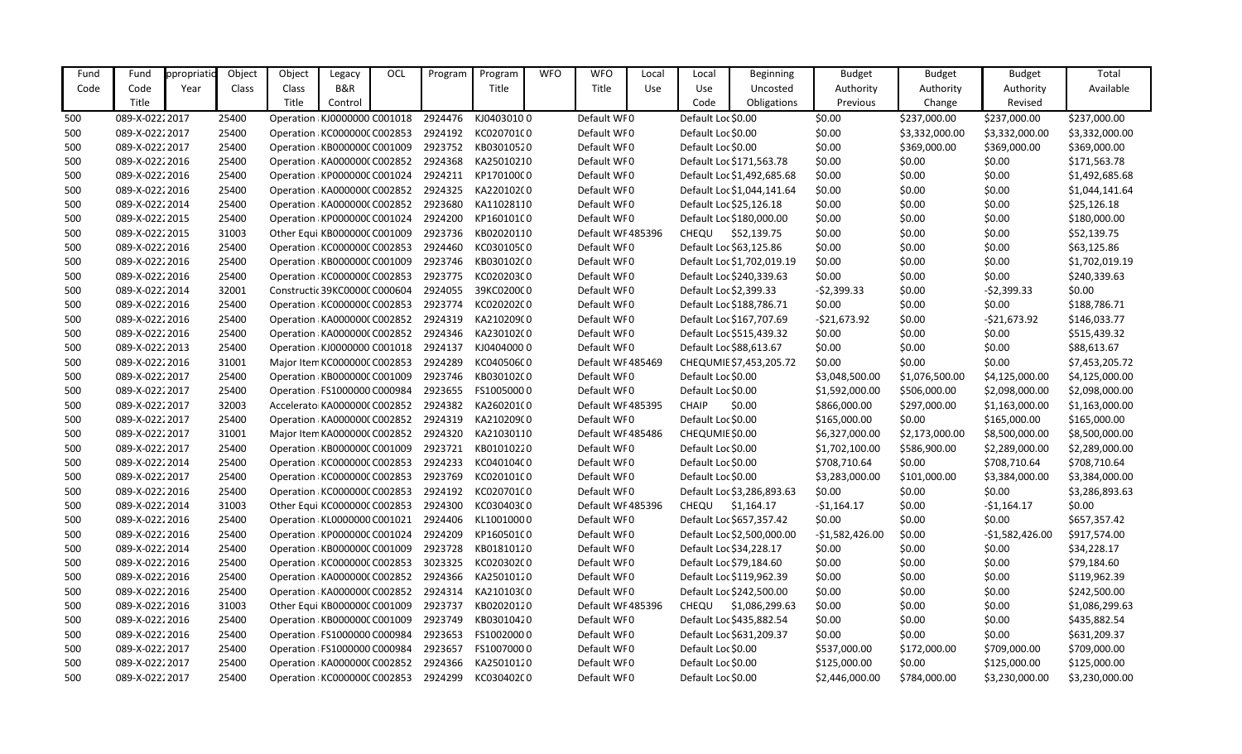| Fund | Fund            | ppropriatio | Object | Object                        | Legacy                       | OCL | Program | Program    | <b>WFO</b> | <b>WFO</b>        | Local | Local                  | <b>Beginning</b>           | <b>Budget</b>   | <b>Budget</b>  | <b>Budget</b>    | Total          |
|------|-----------------|-------------|--------|-------------------------------|------------------------------|-----|---------|------------|------------|-------------------|-------|------------------------|----------------------------|-----------------|----------------|------------------|----------------|
| Code | Code            | Year        | Class  | Class                         | B&R                          |     |         | Title      |            | Title             | Use   | Use                    | Uncosted                   | Authority       | Authority      | Authority        | Available      |
|      | Title           |             |        | Title                         | Control                      |     |         |            |            |                   |       | Code                   | Obligations                | Previous        | Change         | Revised          |                |
| 500  | 089-X-02222017  |             | 25400  | Operation KJ0000000 C001018   |                              |     | 2924476 | KJ04030100 |            | Default WF0       |       | Default Loc \$0.00     |                            | \$0.00          | \$237,000.00   | \$237,000.00     | \$237,000.00   |
| 500  | 089-X-02222017  |             | 25400  | Operation: KC000000C C002853  |                              |     | 2924192 | KC020701C0 |            | Default WF0       |       | Default Loc \$0.00     |                            | \$0.00          | \$3,332,000.00 | \$3,332,000.00   | \$3,332,000.00 |
| 500  | 089-X-02222017  |             | 25400  | Operation: KB000000C C001009  |                              |     | 2923752 | KB03010520 |            | Default WF0       |       | Default Loc \$0.00     |                            | \$0.00          | \$369,000.00   | \$369,000.00     | \$369,000.00   |
| 500  | 089-X-02222016  |             | 25400  | Operation: KA0000000 C002852  |                              |     | 2924368 | KA25010210 |            | Default WF0       |       |                        | Default Loc \$171,563.78   | \$0.00          | \$0.00         | \$0.00           | \$171,563.78   |
| 500  | 089-X-02222016  |             | 25400  | Operation KP000000C C001024   |                              |     | 2924211 | KP170100C0 |            | Default WF0       |       |                        | Default Loc \$1,492,685.68 | \$0.00          | \$0.00         | \$0.00           | \$1,492,685.68 |
| 500  | 089-X-02222016  |             | 25400  | Operation KA000000C C002852   |                              |     | 2924325 | KA220102(0 |            | Default WF0       |       |                        | Default Loc \$1,044,141.64 | \$0.00          | \$0.00         | \$0.00           | \$1,044,141.64 |
| 500  | 089-X-02222014  |             | 25400  | Operation: KA0000000 C002852  |                              |     | 2923680 | KA11028110 |            | Default WF0       |       |                        | Default Loc \$25,126.18    | \$0.00          | \$0.00         | \$0.00           | \$25,126.18    |
| 500  | 089-X-02222015  |             | 25400  | Operation KP000000C C001024   |                              |     | 2924200 | KP160101C0 |            | Default WF0       |       |                        | Default Loc \$180,000.00   | \$0.00          | \$0.00         | \$0.00           | \$180,000.00   |
| 500  | 089-X-02222015  |             | 31003  | Other Equi KB000000C C001009  |                              |     | 2923736 | KB02020110 |            | Default WF 485396 |       | <b>CHEQU</b>           | \$52,139.75                | \$0.00          | \$0.00         | \$0.00           | \$52,139.75    |
| 500  | 089-X-02222016  |             | 25400  | Operation KC000000C C002853   |                              |     | 2924460 | KC030105C0 |            | Default WF0       |       |                        | Default Loc \$63,125.86    | \$0.00          | \$0.00         | \$0.00           | \$63,125.86    |
| 500  | 089-X-02222016  |             | 25400  | Operation : KB000000C C001009 |                              |     | 2923746 | KB030102C0 |            | Default WF0       |       |                        | Default Loc \$1,702,019.19 | \$0.00          | \$0.00         | \$0.00           | \$1,702,019.19 |
| 500  | 089-X-02222016  |             | 25400  | Operation KC000000C C002853   |                              |     | 2923775 | KC020203C0 |            | Default WF0       |       |                        | Default Loc \$240,339.63   | \$0.00          | \$0.00         | \$0.00           | \$240,339.63   |
| 500  | 089-X-02222014  |             | 32001  | Constructic 39KC0000C C000604 |                              |     | 2924055 | 39KC0200C0 |            | Default WF0       |       | Default Loc \$2,399.33 |                            | $-52,399.33$    | \$0.00         | $-52,399.33$     | \$0.00         |
| 500  | 089-X-0222 2016 |             | 25400  | Operation KC000000C C002853   |                              |     | 2923774 | KC020202C0 |            | Default WF0       |       |                        | Default Loc \$188,786.71   | \$0.00          | \$0.00         | \$0.00           | \$188,786.71   |
| 500  | 089-X-02222016  |             | 25400  | Operation: KA0000000 C002852  |                              |     | 2924319 | KA210209(0 |            | Default WF0       |       |                        | Default Loc \$167,707.69   | $-521,673.92$   | \$0.00         | $-521,673.92$    | \$146,033.77   |
| 500  | 089-X-02222016  |             | 25400  | Operation KA000000C C002852   |                              |     | 2924346 | KA23010200 |            | Default WF0       |       |                        | Default Loc \$515,439.32   | \$0.00          | \$0.00         | \$0.00           | \$515,439.32   |
| 500  | 089-X-02222013  |             | 25400  | Operation KJ0000000 C001018   |                              |     | 2924137 | KJ04040000 |            | Default WF0       |       |                        | Default Loc \$88,613.67    | \$0.00          | \$0.00         | \$0.00           | \$88,613.67    |
| 500  | 089-X-02222016  |             | 31001  |                               | Major Item KC000000C C002853 |     | 2924289 | KC040506C0 |            | Default WF 485469 |       |                        | CHEQUMIE \$7,453,205.72    | \$0.00          | \$0.00         | \$0.00           | \$7,453,205.72 |
| 500  | 089-X-02222017  |             | 25400  | Operation KB000000C C001009   |                              |     | 2923746 | KB030102C0 |            | Default WF0       |       | Default Loc \$0.00     |                            | \$3,048,500.00  | \$1,076,500.00 | \$4,125,000.00   | \$4,125,000.00 |
| 500  | 089-X-02222017  |             | 25400  | Operation : FS1000000 C000984 |                              |     | 2923655 | FS10050000 |            | Default WF0       |       | Default Loc \$0.00     |                            | \$1,592,000.00  | \$506,000.00   | \$2,098,000.00   | \$2,098,000.00 |
| 500  | 089-X-02222017  |             | 32003  |                               | Accelerato KA0000000 C002852 |     | 2924382 | KA260201(0 |            | Default WF 485395 |       | <b>CHAIP</b>           | \$0.00                     | \$866,000.00    | \$297,000.00   | \$1,163,000.00   | \$1,163,000.00 |
| 500  | 089-X-02222017  |             | 25400  | Operation KA0000000 C002852   |                              |     | 2924319 | KA210209(0 |            | Default WF0       |       | Default Loc \$0.00     |                            | \$165,000.00    | \$0.00         | \$165,000.00     | \$165,000.00   |
| 500  | 089-X-02222017  |             | 31001  |                               | Major Item KA0000000 C002852 |     | 2924320 | KA21030110 |            | Default WF485486  |       | CHEQUMIE \$0.00        |                            | \$6,327,000.00  | \$2,173,000.00 | \$8,500,000.00   | \$8,500,000.00 |
| 500  | 089-X-02222017  |             | 25400  | Operation KB000000C C001009   |                              |     | 2923721 | KB01010220 |            | Default WF0       |       | Default Loc \$0.00     |                            | \$1,702,100.00  | \$586,900.00   | \$2,289,000.00   | \$2,289,000.00 |
| 500  | 089-X-02222014  |             | 25400  | Operation KC000000C C002853   |                              |     | 2924233 | KC040104C0 |            | Default WF0       |       | Default Loc \$0.00     |                            | \$708,710.64    | \$0.00         | \$708,710.64     | \$708,710.64   |
| 500  | 089-X-02222017  |             | 25400  | Operation KC000000C C002853   |                              |     | 2923769 | KC020101C0 |            | Default WF0       |       | Default Loc \$0.00     |                            | \$3,283,000.00  | \$101,000.00   | \$3,384,000.00   | \$3,384,000.00 |
| 500  | 089-X-02222016  |             | 25400  | Operation KC000000C C002853   |                              |     | 2924192 | KC020701C0 |            | Default WF0       |       |                        | Default Loc \$3,286,893.63 | \$0.00          | \$0.00         | \$0.00           | \$3,286,893.63 |
| 500  | 089-X-02222014  |             | 31003  | Other Equi KC000000C C002853  |                              |     | 2924300 | KC030403C0 |            | Default WF485396  |       | <b>CHEQU</b>           | \$1,164.17                 | $-51,164.17$    | \$0.00         | $-51,164.17$     | \$0.00         |
| 500  | 089-X-02222016  |             | 25400  |                               | Operation KL0000000 C001021  |     | 2924406 | KL10010000 |            | Default WF0       |       |                        | Default Loc \$657,357.42   | \$0.00          | \$0.00         | \$0.00           | \$657,357.42   |
| 500  | 089-X-02222016  |             | 25400  | Operation KP000000C C001024   |                              |     | 2924209 | KP160501C0 |            | Default WF0       |       |                        | Default Loc \$2,500,000.00 | -\$1,582,426.00 | \$0.00         | $-$1,582,426.00$ | \$917,574.00   |
| 500  | 089-X-02222014  |             | 25400  | Operation: KB000000C C001009  |                              |     | 2923728 | KB01810120 |            | Default WF0       |       |                        | Default Loc \$34,228.17    | \$0.00          | \$0.00         | \$0.00           | \$34,228.17    |
| 500  | 089-X-02222016  |             | 25400  | Operation KC000000C C002853   |                              |     | 3023325 | KC020302C0 |            | Default WF0       |       |                        | Default Loc \$79,184.60    | \$0.00          | \$0.00         | \$0.00           | \$79,184.60    |
| 500  | 089-X-02222016  |             | 25400  | Operation KA0000000 C002852   |                              |     | 2924366 | KA25010120 |            | Default WF0       |       |                        | Default Loc \$119,962.39   | \$0.00          | \$0.00         | \$0.00           | \$119,962.39   |
| 500  | 089-X-02222016  |             | 25400  | Operation: KA000000C C002852  |                              |     | 2924314 | KA210103(0 |            | Default WF0       |       |                        | Default Loc \$242,500.00   | \$0.00          | \$0.00         | \$0.00           | \$242,500.00   |
| 500  | 089-X-02222016  |             | 31003  | Other Equi KB000000C C001009  |                              |     | 2923737 | KB02020120 |            | Default WF 485396 |       | <b>CHEQU</b>           | \$1,086,299.63             | \$0.00          | \$0.00         | \$0.00           | \$1,086,299.63 |
| 500  | 089-X-02222016  |             | 25400  | Operation KB000000C C001009   |                              |     | 2923749 | KB03010420 |            | Default WF0       |       |                        | Default Loc \$435,882.54   | \$0.00          | \$0.00         | \$0.00           | \$435,882.54   |
| 500  | 089-X-02222016  |             | 25400  | Operation : FS1000000 C000984 |                              |     | 2923653 | FS10020000 |            | Default WF0       |       |                        | Default Loc \$631,209.37   | \$0.00          | \$0.00         | \$0.00           | \$631,209.37   |
| 500  | 089-X-02222017  |             | 25400  | Operation : FS1000000 C000984 |                              |     | 2923657 | FS10070000 |            | Default WF0       |       | Default Loc \$0.00     |                            | \$537,000.00    | \$172,000.00   | \$709,000.00     | \$709,000.00   |
| 500  | 089-X-02222017  |             | 25400  | Operation KA0000000 C002852   |                              |     | 2924366 | KA25010120 |            | Default WF0       |       | Default Loc \$0.00     |                            | \$125,000.00    | \$0.00         | \$125,000.00     | \$125,000.00   |
| 500  | 089-X-02222017  |             | 25400  | Operation: KC000000C C002853  |                              |     | 2924299 | KC030402C0 |            | Default WF0       |       | Default Loc \$0.00     |                            | \$2,446,000.00  | \$784,000.00   | \$3,230,000.00   | \$3,230,000.00 |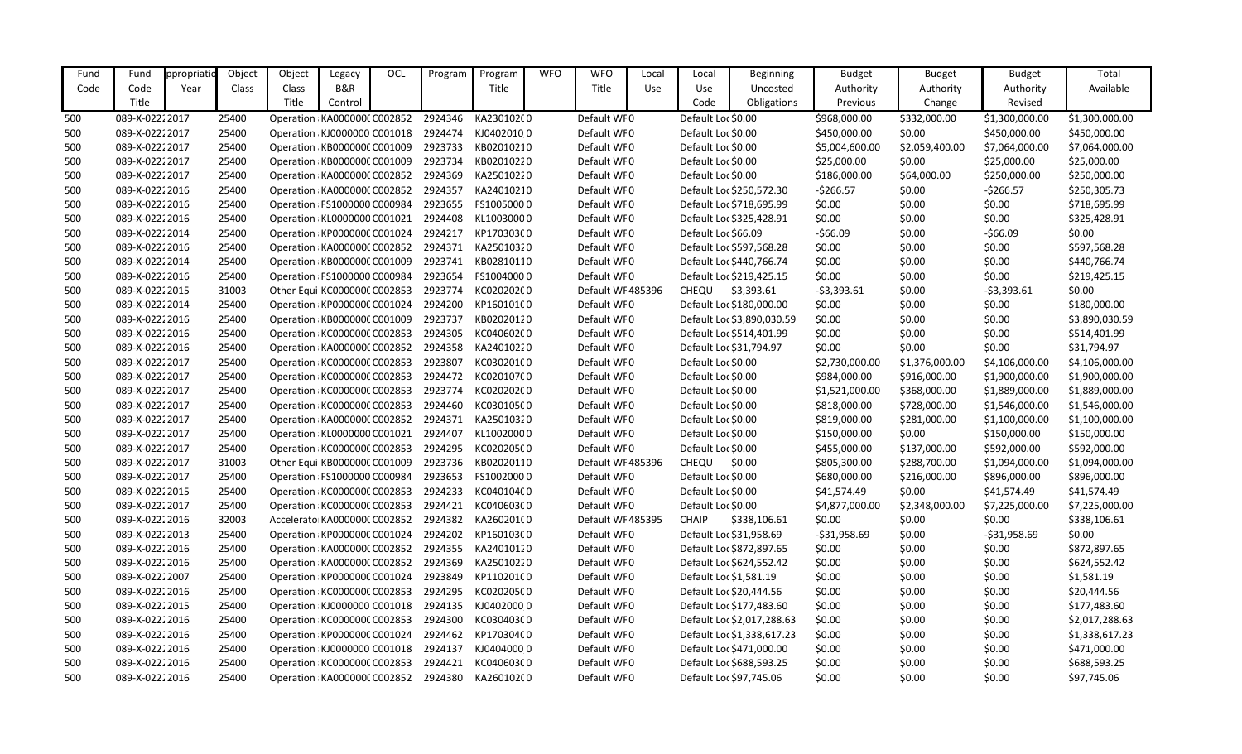| Fund | Fund            | ppropriati | Object | Object | Legacy                        | OCL | Program | Program    | <b>WFO</b> | <b>WFO</b>        | Local | Local               | Beginning                  | <b>Budget</b>  | <b>Budget</b>  | <b>Budget</b>  | Total          |
|------|-----------------|------------|--------|--------|-------------------------------|-----|---------|------------|------------|-------------------|-------|---------------------|----------------------------|----------------|----------------|----------------|----------------|
| Code | Code            | Year       | Class  | Class  | B&R                           |     |         | Title      |            | Title             | Use   | Use                 | Uncosted                   | Authority      | Authority      | Authority      | Available      |
|      | Title           |            |        | Title  | Control                       |     |         |            |            |                   |       | Code                | Obligations                | Previous       | Change         | Revised        |                |
| 500  | 089-X-02222017  |            | 25400  |        | Operation: KA000000C C002852  |     | 2924346 | KA230102(0 |            | Default WF0       |       | Default Loc \$0.00  |                            | \$968,000.00   | \$332,000.00   | \$1,300,000.00 | \$1,300,000.00 |
| 500  | 089-X-02222017  |            | 25400  |        | Operation: KJ0000000 C001018  |     | 2924474 | KJ04020100 |            | Default WF0       |       | Default Loc \$0.00  |                            | \$450,000.00   | \$0.00         | \$450,000.00   | \$450,000.00   |
| 500  | 089-X-02222017  |            | 25400  |        | Operation: KB000000C C001009  |     | 2923733 | KB02010210 |            | Default WF0       |       | Default Loc \$0.00  |                            | \$5,004,600.00 | \$2,059,400.00 | \$7,064,000.00 | \$7,064,000.00 |
| 500  | 089-X-02222017  |            | 25400  |        | Operation: KB000000C C001009  |     | 2923734 | KB02010220 |            | Default WF0       |       | Default Loc \$0.00  |                            | \$25,000.00    | \$0.00         | \$25,000.00    | \$25,000.00    |
| 500  | 089-X-02222017  |            | 25400  |        | Operation: KA0000000 C002852  |     | 2924369 | KA25010220 |            | Default WF0       |       | Default Loc \$0.00  |                            | \$186,000.00   | \$64,000.00    | \$250,000.00   | \$250,000.00   |
| 500  | 089-X-02222016  |            | 25400  |        | Operation KA0000000 C002852   |     | 2924357 | KA24010210 |            | Default WF0       |       |                     | Default Loc \$250,572.30   | $-5266.57$     | \$0.00         | $-5266.57$     | \$250,305.73   |
| 500  | 089-X-02222016  |            | 25400  |        | Operation : FS1000000 C000984 |     | 2923655 | FS10050000 |            | Default WF0       |       |                     | Default Loc \$718,695.99   | \$0.00         | \$0.00         | \$0.00         | \$718,695.99   |
| 500  | 089-X-02222016  |            | 25400  |        | Operation KL0000000 C001021   |     | 2924408 | KL10030000 |            | Default WF0       |       |                     | Default Loc \$325,428.91   | \$0.00         | \$0.00         | \$0.00         | \$325,428.91   |
| 500  | 089-X-02222014  |            | 25400  |        | Operation: KP000000C C001024  |     | 2924217 | KP170303C0 |            | Default WF0       |       | Default Loc \$66.09 |                            | $-$66.09$      | \$0.00         | $-566.09$      | \$0.00         |
| 500  | 089-X-02222016  |            | 25400  |        | Operation: KA0000000 C002852  |     | 2924371 | KA25010320 |            | Default WF0       |       |                     | Default Loc \$597,568.28   | \$0.00         | \$0.00         | \$0.00         | \$597,568.28   |
| 500  | 089-X-02222014  |            | 25400  |        | Operation: KB000000C C001009  |     | 2923741 | KB02810110 |            | Default WF0       |       |                     | Default Loc \$440,766.74   | \$0.00         | \$0.00         | \$0.00         | \$440,766.74   |
| 500  | 089-X-02222016  |            | 25400  |        | Operation : FS1000000 C000984 |     | 2923654 | FS10040000 |            | Default WF0       |       |                     | Default Loc \$219,425.15   | \$0.00         | \$0.00         | \$0.00         | \$219,425.15   |
| 500  | 089-X-02222015  |            | 31003  |        | Other Equi KC000000C C002853  |     | 2923774 | KC020202C0 |            | Default WF 485396 |       | <b>CHEQU</b>        | \$3,393.61                 | $-53,393.61$   | \$0.00         | $-53,393.61$   | \$0.00         |
| 500  | 089-X-02222014  |            | 25400  |        | Operation: KP000000C C001024  |     | 2924200 | KP160101C0 |            | Default WF0       |       |                     | Default Loc \$180,000.00   | \$0.00         | \$0.00         | \$0.00         | \$180,000.00   |
| 500  | 089-X-02222016  |            | 25400  |        | Operation: KB000000C C001009  |     | 2923737 | KB02020120 |            | Default WF0       |       |                     | Default Loc \$3,890,030.59 | \$0.00         | \$0.00         | \$0.00         | \$3,890,030.59 |
| 500  | 089-X-02222016  |            | 25400  |        | Operation: KC000000C C002853  |     | 2924305 | KC040602C0 |            | Default WF0       |       |                     | Default Loc \$514,401.99   | \$0.00         | \$0.00         | \$0.00         | \$514,401.99   |
| 500  | 089-X-02222016  |            | 25400  |        | Operation KA0000000 C002852   |     | 2924358 | KA24010220 |            | Default WF0       |       |                     | Default Loc \$31,794.97    | \$0.00         | \$0.00         | \$0.00         | \$31,794.97    |
| 500  | 089-X-02222017  |            | 25400  |        | Operation: KC000000C C002853  |     | 2923807 | KC030201C0 |            | Default WF0       |       | Default Loc \$0.00  |                            | \$2,730,000.00 | \$1,376,000.00 | \$4,106,000.00 | \$4,106,000.00 |
| 500  | 089-X-02222017  |            | 25400  |        | Operation: KC000000C C002853  |     | 2924472 | KC020107C0 |            | Default WF0       |       | Default Loc \$0.00  |                            | \$984,000.00   | \$916,000.00   | \$1,900,000.00 | \$1,900,000.00 |
| 500  | 089-X-02222017  |            | 25400  |        | Operation: KC000000C C002853  |     | 2923774 | KC020202C0 |            | Default WF0       |       | Default Loc \$0.00  |                            | \$1,521,000.00 | \$368,000.00   | \$1,889,000.00 | \$1,889,000.00 |
| 500  | 089-X-02222017  |            | 25400  |        | Operation: KC000000C C002853  |     | 2924460 | KC030105C0 |            | Default WF0       |       | Default Loc \$0.00  |                            | \$818,000.00   | \$728,000.00   | \$1,546,000.00 | \$1,546,000.00 |
| 500  | 089-X-02222017  |            | 25400  |        | Operation: KA000000C C002852  |     | 2924371 | KA25010320 |            | Default WF0       |       | Default Loc \$0.00  |                            | \$819,000.00   | \$281,000.00   | \$1,100,000.00 | \$1,100,000.00 |
| 500  | 089-X-02222017  |            | 25400  |        | Operation KL0000000 C001021   |     | 2924407 | KL10020000 |            | Default WF0       |       | Default Loc \$0.00  |                            | \$150,000.00   | \$0.00         | \$150,000.00   | \$150,000.00   |
| 500  | 089-X-02222017  |            | 25400  |        | Operation: KC000000C C002853  |     | 2924295 | KC020205C0 |            | Default WF0       |       | Default Loc \$0.00  |                            | \$455,000.00   | \$137,000.00   | \$592,000.00   | \$592,000.00   |
| 500  | 089-X-02222017  |            | 31003  |        | Other Equi KB000000C C001009  |     | 2923736 | KB02020110 |            | Default WF 485396 |       | CHEQU               | \$0.00                     | \$805,300.00   | \$288,700.00   | \$1,094,000.00 | \$1,094,000.00 |
| 500  | 089-X-02222017  |            | 25400  |        | Operation : FS1000000 C000984 |     | 2923653 | FS10020000 |            | Default WF0       |       | Default Loc \$0.00  |                            | \$680,000.00   | \$216,000.00   | \$896,000.00   | \$896,000.00   |
| 500  | 089-X-02222015  |            | 25400  |        | Operation: KC000000C C002853  |     | 2924233 | KC040104C0 |            | Default WF0       |       | Default Loc \$0.00  |                            | \$41,574.49    | \$0.00         | \$41,574.49    | \$41,574.49    |
| 500  | 089-X-02222017  |            | 25400  |        | Operation: KC000000C C002853  |     | 2924421 | KC040603C0 |            | Default WF0       |       | Default Loc \$0.00  |                            | \$4,877,000.00 | \$2,348,000.00 | \$7,225,000.00 | \$7,225,000.00 |
| 500  | 089-X-0222 2016 |            | 32003  |        | Accelerato KA000000CC002852   |     | 2924382 | KA260201(0 |            | Default WF485395  |       | <b>CHAIP</b>        | \$338,106.61               | \$0.00         | \$0.00         | \$0.00         | \$338,106.61   |
| 500  | 089-X-02222013  |            | 25400  |        | Operation: KP000000C C001024  |     | 2924202 | KP160103C0 |            | Default WF0       |       |                     | Default Loc \$31,958.69    | $-531,958.69$  | \$0.00         | $-531,958.69$  | \$0.00         |
| 500  | 089-X-02222016  |            | 25400  |        | Operation: KA0000000 C002852  |     | 2924355 | KA24010120 |            | Default WF0       |       |                     | Default Loc \$872,897.65   | \$0.00         | \$0.00         | \$0.00         | \$872,897.65   |
| 500  | 089-X-02222016  |            | 25400  |        | Operation: KA0000000 C002852  |     | 2924369 | KA25010220 |            | Default WF0       |       |                     | Default Loc \$624,552.42   | \$0.00         | \$0.00         | \$0.00         | \$624,552.42   |
| 500  | 089-X-0222 2007 |            | 25400  |        | Operation: KP000000C C001024  |     | 2923849 | KP110201C0 |            | Default WF0       |       |                     | Default Loc \$1,581.19     | \$0.00         | \$0.00         | \$0.00         | \$1,581.19     |
| 500  | 089-X-02222016  |            | 25400  |        | Operation: KC000000C C002853  |     | 2924295 | KC020205C0 |            | Default WF0       |       |                     | Default Loc \$20,444.56    | \$0.00         | \$0.00         | \$0.00         | \$20,444.56    |
| 500  | 089-X-02222015  |            | 25400  |        | Operation: KJ0000000 C001018  |     | 2924135 | KJ04020000 |            | Default WF0       |       |                     | Default Loc \$177,483.60   | \$0.00         | \$0.00         | \$0.00         | \$177,483.60   |
| 500  | 089-X-02222016  |            | 25400  |        | Operation: KC000000C C002853  |     | 2924300 | KC030403C0 |            | Default WF0       |       |                     | Default Loc \$2,017,288.63 | \$0.00         | \$0.00         | \$0.00         | \$2,017,288.63 |
| 500  | 089-X-02222016  |            | 25400  |        | Operation: KP000000C C001024  |     | 2924462 | KP170304C0 |            | Default WF0       |       |                     | Default Loc \$1,338,617.23 | \$0.00         | \$0.00         | \$0.00         | \$1,338,617.23 |
| 500  | 089-X-02222016  |            | 25400  |        | Operation KJ0000000 C001018   |     | 2924137 | KJ04040000 |            | Default WF0       |       |                     | Default Loc \$471,000.00   | \$0.00         | \$0.00         | \$0.00         | \$471,000.00   |
| 500  | 089-X-02222016  |            | 25400  |        | Operation: KC000000C C002853  |     | 2924421 | KC040603C0 |            | Default WF0       |       |                     | Default Loc \$688,593.25   | \$0.00         | \$0.00         | \$0.00         | \$688,593.25   |
| 500  | 089-X-0222 2016 |            | 25400  |        | Operation KA000000CC002852    |     | 2924380 | KA26010200 |            | Default WF0       |       |                     | Default Loc \$97,745.06    | \$0.00         | \$0.00         | \$0.00         | \$97,745.06    |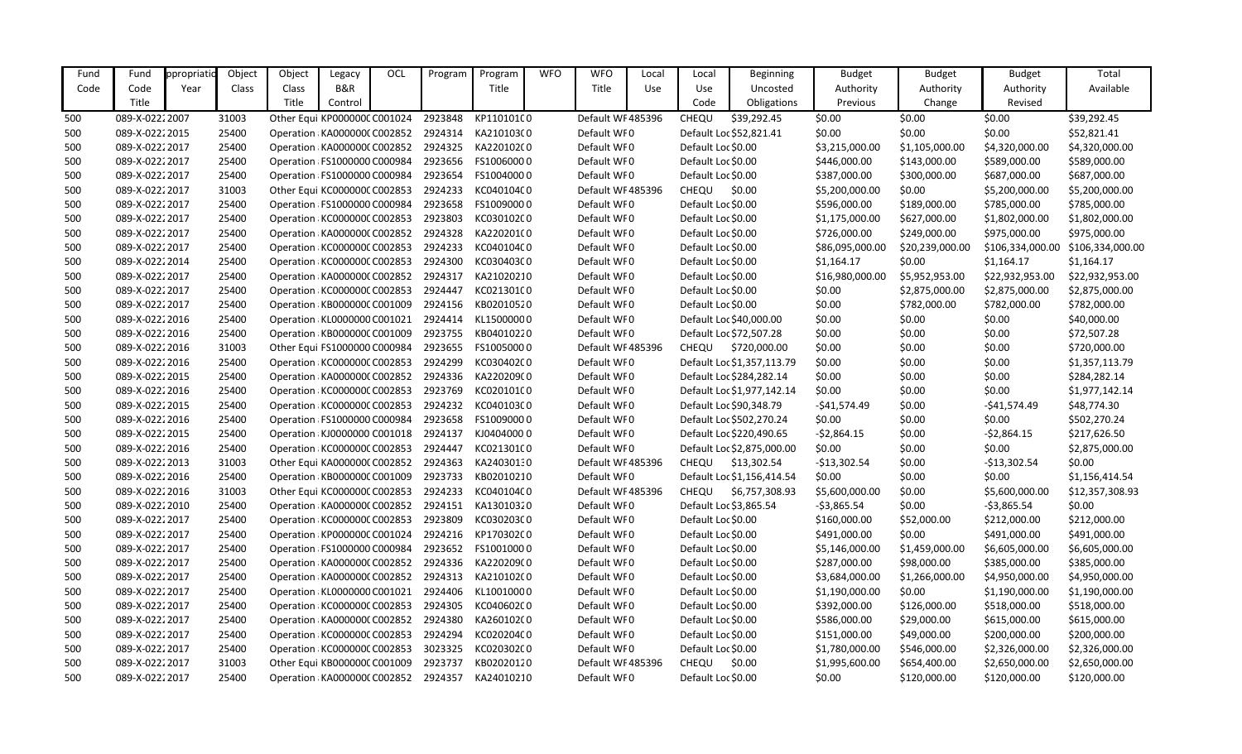| Fund | Fund           | ppropriati | Object | Object | Legacy                        | OCL | Program | Program     | <b>WFO</b> | <b>WFO</b>        | Local | Local              | <b>Beginning</b>           | <b>Budget</b>   | <b>Budget</b>   | <b>Budget</b>    | Total            |
|------|----------------|------------|--------|--------|-------------------------------|-----|---------|-------------|------------|-------------------|-------|--------------------|----------------------------|-----------------|-----------------|------------------|------------------|
| Code | Code           | Year       | Class  | Class  | B&R                           |     |         | Title       |            | Title             | Use   | Use                | Uncosted                   | Authority       | Authority       | Authority        | Available        |
|      | Title          |            |        | Title  | Control                       |     |         |             |            |                   |       | Code               | Obligations                | Previous        | Change          | Revised          |                  |
| 500  | 089-X-02222007 |            | 31003  |        | Other Equi KP000000C C001024  |     | 2923848 | KP110101C0  |            | Default WF 485396 |       | <b>CHEQU</b>       | \$39,292.45                | \$0.00          | \$0.00          | \$0.00           | \$39,292.45      |
| 500  | 089-X-02222015 |            | 25400  |        | Operation: KA0000000 C002852  |     | 2924314 | KA21010300  |            | Default WF0       |       |                    | Default Loc \$52,821.41    | \$0.00          | \$0.00          | \$0.00           | \$52,821.41      |
| 500  | 089-X-02222017 |            | 25400  |        | Operation: KA000000C C002852  |     | 2924325 | KA220102(0  |            | Default WF0       |       | Default Loc \$0.00 |                            | \$3,215,000.00  | \$1,105,000.00  | \$4,320,000.00   | \$4,320,000.00   |
| 500  | 089-X-02222017 |            | 25400  |        | Operation FS1000000 C000984   |     | 2923656 | FS10060000  |            | Default WF0       |       | Default Loc \$0.00 |                            | \$446,000.00    | \$143,000.00    | \$589,000.00     | \$589,000.00     |
| 500  | 089-X-02222017 |            | 25400  |        | Operation : FS1000000 C000984 |     | 2923654 | FS10040000  |            | Default WF0       |       | Default Loc \$0.00 |                            | \$387,000.00    | \$300,000.00    | \$687,000.00     | \$687,000.00     |
| 500  | 089-X-02222017 |            | 31003  |        | Other Equi KC000000C C002853  |     | 2924233 | KC040104C0  |            | Default WF 485396 |       | <b>CHEQU</b>       | \$0.00                     | \$5,200,000.00  | \$0.00          | \$5,200,000.00   | \$5,200,000.00   |
| 500  | 089-X-02222017 |            | 25400  |        | Operation : FS1000000 C000984 |     | 2923658 | FS10090000  |            | Default WF0       |       | Default Loc \$0.00 |                            | \$596,000.00    | \$189,000.00    | \$785,000.00     | \$785,000.00     |
| 500  | 089-X-02222017 |            | 25400  |        | Operation: KC000000C C002853  |     | 2923803 | KC030102C0  |            | Default WF0       |       | Default Loc \$0.00 |                            | \$1,175,000.00  | \$627,000.00    | \$1,802,000.00   | \$1,802,000.00   |
| 500  | 089-X-02222017 |            | 25400  |        | Operation: KA0000000 C002852  |     | 2924328 | KA220201(0  |            | Default WF0       |       | Default Loc \$0.00 |                            | \$726,000.00    | \$249,000.00    | \$975,000.00     | \$975,000.00     |
| 500  | 089-X-02222017 |            | 25400  |        | Operation: KC000000C C002853  |     | 2924233 | KC040104C0  |            | Default WF0       |       | Default Loc \$0.00 |                            | \$86,095,000.00 | \$20,239,000.00 | \$106,334,000.00 | \$106,334,000.00 |
| 500  | 089-X-02222014 |            | 25400  |        | Operation: KC000000C C002853  |     | 2924300 | KC030403C0  |            | Default WF0       |       | Default Loc \$0.00 |                            | \$1,164.17      | \$0.00          | \$1,164.17       | \$1,164.17       |
| 500  | 089-X-02222017 |            | 25400  |        | Operation: KA0000000 C002852  |     | 2924317 | KA21020210  |            | Default WF0       |       | Default Loc \$0.00 |                            | \$16,980,000.00 | \$5,952,953.00  | \$22,932,953.00  | \$22,932,953.00  |
| 500  | 089-X-02222017 |            | 25400  |        | Operation: KC000000C C002853  |     | 2924447 | KC021301C0  |            | Default WF0       |       | Default Loc \$0.00 |                            | \$0.00          | \$2,875,000.00  | \$2,875,000.00   | \$2,875,000.00   |
| 500  | 089-X-02222017 |            | 25400  |        | Operation: KB000000C C001009  |     | 2924156 | KB02010520  |            | Default WF0       |       | Default Loc \$0.00 |                            | \$0.00          | \$782,000.00    | \$782,000.00     | \$782,000.00     |
| 500  | 089-X-02222016 |            | 25400  |        | Operation: KL0000000 C001021  |     | 2924414 | KL15000000  |            | Default WF0       |       |                    | Default Loc \$40,000.00    | \$0.00          | \$0.00          | \$0.00           | \$40,000.00      |
| 500  | 089-X-02222016 |            | 25400  |        | Operation: KB000000C C001009  |     | 2923755 | KB04010220  |            | Default WF0       |       |                    | Default Loc \$72,507.28    | \$0.00          | \$0.00          | \$0.00           | \$72,507.28      |
| 500  | 089-X-02222016 |            | 31003  |        | Other Equi FS1000000 C000984  |     | 2923655 | FS10050000  |            | Default WF 485396 |       | CHEQU              | \$720,000.00               | \$0.00          | \$0.00          | \$0.00           | \$720,000.00     |
| 500  | 089-X-02222016 |            | 25400  |        | Operation: KC000000C C002853  |     | 2924299 | KC030402C0  |            | Default WF0       |       |                    | Default Loc \$1,357,113.79 | \$0.00          | \$0.00          | \$0.00           | \$1,357,113.79   |
| 500  | 089-X-02222015 |            | 25400  |        | Operation: KA0000000 C002852  |     | 2924336 | KA220209(0  |            | Default WF0       |       |                    | Default Loc \$284,282.14   | \$0.00          | \$0.00          | \$0.00           | \$284,282.14     |
| 500  | 089-X-02222016 |            | 25400  |        | Operation: KC000000C C002853  |     | 2923769 | KC020101C0  |            | Default WF0       |       |                    | Default Loc \$1,977,142.14 | \$0.00          | \$0.00          | \$0.00           | \$1,977,142.14   |
| 500  | 089-X-02222015 |            | 25400  |        | Operation KC000000CC002853    |     | 2924232 | KC040103C0  |            | Default WF0       |       |                    | Default Loc \$90,348.79    | $-541,574.49$   | \$0.00          | $-$41,574.49$    | \$48,774.30      |
| 500  | 089-X-02222016 |            | 25400  |        | Operation : FS1000000 C000984 |     | 2923658 | FS10090000  |            | Default WF0       |       |                    | Default Loc \$502,270.24   | \$0.00          | \$0.00          | \$0.00           | \$502,270.24     |
| 500  | 089-X-02222015 |            | 25400  |        | Operation: KJ0000000 C001018  |     | 2924137 | KJ040400000 |            | Default WF0       |       |                    | Default Loc \$220,490.65   | $-52,864.15$    | \$0.00          | $-52,864.15$     | \$217,626.50     |
| 500  | 089-X-02222016 |            | 25400  |        | Operation: KC000000C C002853  |     | 2924447 | KC021301C0  |            | Default WF0       |       |                    | Default Loc \$2,875,000.00 | \$0.00          | \$0.00          | \$0.00           | \$2,875,000.00   |
| 500  | 089-X-02222013 |            | 31003  |        | Other Equi KA000000(C002852   |     | 2924363 | KA24030130  |            | Default WF485396  |       | CHEQU              | \$13,302.54                | $-$13,302.54$   | \$0.00          | $-$13,302.54$    | \$0.00           |
| 500  | 089-X-02222016 |            | 25400  |        | Operation: KB000000C C001009  |     | 2923733 | KB02010210  |            | Default WF0       |       |                    | Default Loc \$1,156,414.54 | \$0.00          | \$0.00          | \$0.00           | \$1,156,414.54   |
| 500  | 089-X-02222016 |            | 31003  |        | Other Equi KC000000CC002853   |     | 2924233 | KC040104C0  |            | Default WF485396  |       | <b>CHEQU</b>       | \$6,757,308.93             | \$5,600,000.00  | \$0.00          | \$5,600,000.00   | \$12,357,308.93  |
| 500  | 089-X-02222010 |            | 25400  |        | Operation KA0000000 C002852   |     | 2924151 | KA13010320  |            | Default WF0       |       |                    | Default Loc \$3,865.54     | $-53,865.54$    | \$0.00          | $-53,865.54$     | \$0.00           |
| 500  | 089-X-02222017 |            | 25400  |        | Operation KC000000CC002853    |     | 2923809 | KC030203C0  |            | Default WF0       |       | Default Loc \$0.00 |                            | \$160,000.00    | \$52,000.00     | \$212,000.00     | \$212,000.00     |
| 500  | 089-X-02222017 |            | 25400  |        | Operation: KP000000C C001024  |     | 2924216 | KP170302C0  |            | Default WF0       |       | Default Loc \$0.00 |                            | \$491,000.00    | \$0.00          | \$491,000.00     | \$491,000.00     |
| 500  | 089-X-02222017 |            | 25400  |        | Operation FS1000000 C000984   |     | 2923652 | FS10010000  |            | Default WF0       |       | Default Loc \$0.00 |                            | \$5,146,000.00  | \$1,459,000.00  | \$6,605,000.00   | \$6,605,000.00   |
| 500  | 089-X-02222017 |            | 25400  |        | Operation: KA0000000 C002852  |     | 2924336 | KA220209(0  |            | Default WF0       |       | Default Loc \$0.00 |                            | \$287,000.00    | \$98,000.00     | \$385,000.00     | \$385,000.00     |
| 500  | 089-X-02222017 |            | 25400  |        | Operation: KA0000000 C002852  |     | 2924313 | KA21010200  |            | Default WF0       |       | Default Loc \$0.00 |                            | \$3,684,000.00  | \$1,266,000.00  | \$4,950,000.00   | \$4,950,000.00   |
| 500  | 089-X-02222017 |            | 25400  |        | Operation: KL0000000 C001021  |     | 2924406 | KL10010000  |            | Default WFO       |       | Default Loc \$0.00 |                            | \$1,190,000.00  | \$0.00          | \$1,190,000.00   | \$1,190,000.00   |
| 500  | 089-X-02222017 |            | 25400  |        | Operation: KC000000C C002853  |     | 2924305 | KC040602C0  |            | Default WF0       |       | Default Loc \$0.00 |                            | \$392,000.00    | \$126,000.00    | \$518,000.00     | \$518,000.00     |
| 500  | 089-X-02222017 |            | 25400  |        | Operation: KA0000000 C002852  |     | 2924380 | KA260102(0  |            | Default WF0       |       | Default Loc \$0.00 |                            | \$586,000.00    | \$29,000.00     | \$615,000.00     | \$615,000.00     |
| 500  | 089-X-02222017 |            | 25400  |        | Operation: KC000000C C002853  |     | 2924294 | KC020204C0  |            | Default WFO       |       | Default Loc \$0.00 |                            | \$151,000.00    | \$49,000.00     | \$200,000.00     | \$200,000.00     |
| 500  | 089-X-02222017 |            | 25400  |        | Operation: KC000000C C002853  |     | 3023325 | KC020302C0  |            | Default WF0       |       | Default Loc \$0.00 |                            | \$1,780,000.00  | \$546,000.00    | \$2,326,000.00   | \$2,326,000.00   |
| 500  | 089-X-02222017 |            | 31003  |        | Other Equi KB000000C C001009  |     | 2923737 | KB02020120  |            | Default WF 485396 |       | <b>CHEQU</b>       | \$0.00                     | \$1,995,600.00  | \$654,400.00    | \$2,650,000.00   | \$2,650,000.00   |
| 500  | 089-X-02222017 |            | 25400  |        | Operation KA0000000 C002852   |     | 2924357 | KA24010210  |            | Default WF0       |       | Default Loc \$0.00 |                            | \$0.00          | \$120,000.00    | \$120,000.00     | \$120,000.00     |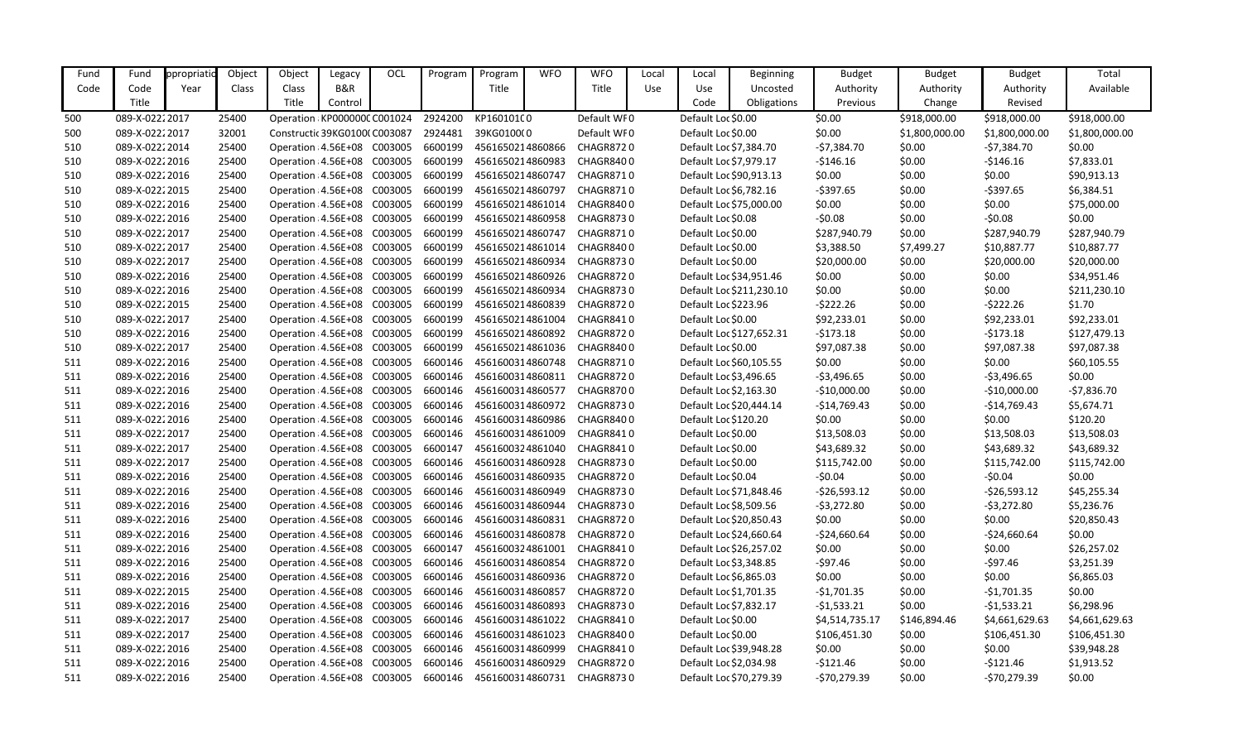| Fund | Fund            | ppropriatio | Object | Object                       | Legacy  | OCL | Program | Program          | <b>WFO</b> | <b>WFO</b>       | Local | Local                  | <b>Beginning</b>         | <b>Budget</b>  | <b>Budget</b>  | <b>Budget</b>  | Total          |
|------|-----------------|-------------|--------|------------------------------|---------|-----|---------|------------------|------------|------------------|-------|------------------------|--------------------------|----------------|----------------|----------------|----------------|
| Code | Code            | Year        | Class  | Class                        | B&R     |     |         | Title            |            | Title            | Use   | Use                    | Uncosted                 | Authority      | Authority      | Authority      | Available      |
|      | Title           |             |        | Title                        | Control |     |         |                  |            |                  |       | Code                   | Obligations              | Previous       | Change         | Revised        |                |
| 500  | 089-X-02222017  |             | 25400  | Operation: KP000000C C001024 |         |     | 2924200 | KP160101C0       |            | Default WF0      |       | Default Loc \$0.00     |                          | \$0.00         | \$918,000.00   | \$918,000.00   | \$918,000.00   |
| 500  | 089-X-02222017  |             | 32001  | Constructic 39KG0100(C003087 |         |     | 2924481 | 39KG0100(0       |            | Default WF0      |       | Default Loc \$0.00     |                          | \$0.00         | \$1,800,000.00 | \$1,800,000.00 | \$1,800,000.00 |
| 510  | 089-X-02222014  |             | 25400  | Operation: 4.56E+08 C003005  |         |     | 6600199 | 4561650214860866 |            | CHAGR8720        |       | Default Loc \$7,384.70 |                          | $-57,384.70$   | \$0.00         | -\$7,384.70    | \$0.00         |
| 510  | 089-X-02222016  |             | 25400  | Operation: 4.56E+08 C003005  |         |     | 6600199 | 4561650214860983 |            | CHAGR8400        |       | Default Loc \$7,979.17 |                          | $-$146.16$     | \$0.00         | -\$146.16      | \$7,833.01     |
| 510  | 089-X-02222016  |             | 25400  | Operation: 4.56E+08 C003005  |         |     | 6600199 | 4561650214860747 |            | CHAGR8710        |       |                        | Default Loc \$90,913.13  | \$0.00         | \$0.00         | \$0.00         | \$90,913.13    |
| 510  | 089-X-02222015  |             | 25400  | Operation : 4.56E+08 C003005 |         |     | 6600199 | 4561650214860797 |            | CHAGR8710        |       | Default Loc \$6,782.16 |                          | $-5397.65$     | \$0.00         | -\$397.65      | \$6,384.51     |
| 510  | 089-X-02222016  |             | 25400  | Operation: 4.56E+08 C003005  |         |     | 6600199 | 4561650214861014 |            | CHAGR8400        |       |                        | Default Loc \$75,000.00  | \$0.00         | \$0.00         | \$0.00         | \$75,000.00    |
| 510  | 089-X-02222016  |             | 25400  | Operation: 4.56E+08 C003005  |         |     | 6600199 | 4561650214860958 |            | CHAGR8730        |       | Default Loc \$0.08     |                          | $-50.08$       | \$0.00         | $-50.08$       | \$0.00         |
| 510  | 089-X-02222017  |             | 25400  | Operation: 4.56E+08 C003005  |         |     | 6600199 | 4561650214860747 |            | CHAGR8710        |       | Default Loc \$0.00     |                          | \$287,940.79   | \$0.00         | \$287,940.79   | \$287,940.79   |
| 510  | 089-X-02222017  |             | 25400  | Operation: 4.56E+08 C003005  |         |     | 6600199 | 4561650214861014 |            | CHAGR8400        |       | Default Loc \$0.00     |                          | \$3,388.50     | \$7,499.27     | \$10,887.77    | \$10,887.77    |
| 510  | 089-X-02222017  |             | 25400  | Operation: 4.56E+08 C003005  |         |     | 6600199 | 4561650214860934 |            | CHAGR8730        |       | Default Loc \$0.00     |                          | \$20,000.00    | \$0.00         | \$20,000.00    | \$20,000.00    |
| 510  | 089-X-02222016  |             | 25400  | Operation : 4.56E+08 C003005 |         |     | 6600199 | 4561650214860926 |            | CHAGR8720        |       |                        | Default Loc \$34,951.46  | \$0.00         | \$0.00         | \$0.00         | \$34,951.46    |
| 510  | 089-X-02222016  |             | 25400  | Operation: 4.56E+08 C003005  |         |     | 6600199 | 4561650214860934 |            | CHAGR8730        |       |                        | Default Loc \$211,230.10 | \$0.00         | \$0.00         | \$0.00         | \$211,230.10   |
| 510  | 089-X-02222015  |             | 25400  | Operation : 4.56E+08 C003005 |         |     | 6600199 | 4561650214860839 |            | CHAGR8720        |       | Default Loc \$223.96   |                          | $-5222.26$     | \$0.00         | $-$ \$222.26   | \$1.70         |
| 510  | 089-X-02222017  |             | 25400  | Operation : 4.56E+08 C003005 |         |     | 6600199 | 4561650214861004 |            | CHAGR8410        |       | Default Loc \$0.00     |                          | \$92,233.01    | \$0.00         | \$92,233.01    | \$92,233.01    |
| 510  | 089-X-02222016  |             | 25400  | Operation: 4.56E+08 C003005  |         |     | 6600199 | 4561650214860892 |            | CHAGR8720        |       |                        | Default Loc \$127,652.31 | $-5173.18$     | \$0.00         | -\$173.18      | \$127,479.13   |
| 510  | 089-X-02222017  |             | 25400  | Operation: 4.56E+08 C003005  |         |     | 6600199 | 4561650214861036 |            | CHAGR8400        |       | Default Loc \$0.00     |                          | \$97,087.38    | \$0.00         | \$97,087.38    | \$97,087.38    |
| 511  | 089-X-02222016  |             | 25400  | Operation : 4.56E+08 C003005 |         |     | 6600146 | 4561600314860748 |            | CHAGR8710        |       |                        | Default Loc \$60,105.55  | \$0.00         | \$0.00         | \$0.00         | \$60,105.55    |
| 511  | 089-X-02222016  |             | 25400  | Operation: 4.56E+08 C003005  |         |     | 6600146 | 4561600314860811 |            | CHAGR8720        |       | Default Loc \$3,496.65 |                          | $-53,496.65$   | \$0.00         | $-53,496.65$   | \$0.00         |
| 511  | 089-X-02222016  |             | 25400  | Operation : 4.56E+08 C003005 |         |     | 6600146 | 4561600314860577 |            | CHAGR8700        |       | Default Loc \$2,163.30 |                          | $-$10,000.00$  | \$0.00         | $-$10,000.00$  | $-57,836.70$   |
| 511  | 089-X-02222016  |             | 25400  | Operation: 4.56E+08 C003005  |         |     | 6600146 | 4561600314860972 |            | CHAGR8730        |       |                        | Default Loc \$20,444.14  | $-$14,769.43$  | \$0.00         | $-$14,769.43$  | \$5,674.71     |
| 511  | 089-X-02222016  |             | 25400  | Operation: 4.56E+08 C003005  |         |     | 6600146 | 4561600314860986 |            | CHAGR8400        |       | Default Loc \$120.20   |                          | \$0.00         | \$0.00         | \$0.00         | \$120.20       |
| 511  | 089-X-02222017  |             | 25400  | Operation: 4.56E+08 C003005  |         |     | 6600146 | 4561600314861009 |            | CHAGR8410        |       | Default Loc \$0.00     |                          | \$13,508.03    | \$0.00         | \$13,508.03    | \$13,508.03    |
| 511  | 089-X-02222017  |             | 25400  | Operation: 4.56E+08 C003005  |         |     | 6600147 | 4561600324861040 |            | CHAGR8410        |       | Default Loc \$0.00     |                          | \$43,689.32    | \$0.00         | \$43,689.32    | \$43,689.32    |
| 511  | 089-X-02222017  |             | 25400  | Operation : 4.56E+08 C003005 |         |     | 6600146 | 4561600314860928 |            | <b>CHAGR8730</b> |       | Default Loc \$0.00     |                          | \$115,742.00   | \$0.00         | \$115,742.00   | \$115,742.00   |
| 511  | 089-X-02222016  |             | 25400  | Operation: 4.56E+08 C003005  |         |     | 6600146 | 4561600314860935 |            | <b>CHAGR8720</b> |       | Default Loc \$0.04     |                          | $-50.04$       | \$0.00         | $-50.04$       | \$0.00         |
| 511  | 089-X-02222016  |             | 25400  | Operation : 4.56E+08 C003005 |         |     | 6600146 | 4561600314860949 |            | CHAGR8730        |       |                        | Default Loc \$71,848.46  | $-526,593.12$  | \$0.00         | $-526,593.12$  | \$45,255.34    |
| 511  | 089-X-02222016  |             | 25400  | Operation: 4.56E+08 C003005  |         |     | 6600146 | 4561600314860944 |            | CHAGR8730        |       |                        | Default Loc \$8,509.56   | $-53,272.80$   | \$0.00         | $-53,272.80$   | \$5,236.76     |
| 511  | 089-X-0222 2016 |             | 25400  | Operation : 4.56E+08 C003005 |         |     | 6600146 | 4561600314860831 |            | <b>CHAGR8720</b> |       |                        | Default Loc \$20,850.43  | \$0.00         | \$0.00         | \$0.00         | \$20,850.43    |
| 511  | 089-X-02222016  |             | 25400  | Operation: 4.56E+08 C003005  |         |     | 6600146 | 4561600314860878 |            | CHAGR8720        |       |                        | Default Loc \$24,660.64  | $-524,660.64$  | \$0.00         | $-524,660.64$  | \$0.00         |
| 511  | 089-X-02222016  |             | 25400  | Operation: 4.56E+08 C003005  |         |     | 6600147 | 4561600324861001 |            | CHAGR8410        |       |                        | Default Loc \$26,257.02  | \$0.00         | \$0.00         | \$0.00         | \$26,257.02    |
| 511  | 089-X-02222016  |             | 25400  | Operation: 4.56E+08 C003005  |         |     | 6600146 | 4561600314860854 |            | CHAGR8720        |       | Default Loc \$3,348.85 |                          | $-597.46$      | \$0.00         | -\$97.46       | \$3,251.39     |
| 511  | 089-X-02222016  |             | 25400  | Operation: 4.56E+08 C003005  |         |     | 6600146 | 4561600314860936 |            | CHAGR8720        |       | Default Loc \$6,865.03 |                          | \$0.00         | \$0.00         | \$0.00         | \$6,865.03     |
| 511  | 089-X-02222015  |             | 25400  | Operation : 4.56E+08 C003005 |         |     | 6600146 | 4561600314860857 |            | CHAGR8720        |       | Default Loc \$1,701.35 |                          | $-$1,701.35$   | \$0.00         | $-$1,701.35$   | \$0.00         |
| 511  | 089-X-02222016  |             | 25400  | Operation: 4.56E+08 C003005  |         |     | 6600146 | 4561600314860893 |            | CHAGR8730        |       | Default Loc \$7,832.17 |                          | $-51,533.21$   | \$0.00         | $-$1,533.21$   | \$6,298.96     |
| 511  | 089-X-02222017  |             | 25400  | Operation: 4.56E+08 C003005  |         |     | 6600146 | 4561600314861022 |            | CHAGR8410        |       | Default Loc \$0.00     |                          | \$4,514,735.17 | \$146,894.46   | \$4,661,629.63 | \$4,661,629.63 |
| 511  | 089-X-02222017  |             | 25400  | Operation : 4.56E+08 C003005 |         |     | 6600146 | 4561600314861023 |            | CHAGR8400        |       | Default Loc \$0.00     |                          | \$106,451.30   | \$0.00         | \$106,451.30   | \$106,451.30   |
| 511  | 089-X-02222016  |             | 25400  | Operation: 4.56E+08 C003005  |         |     | 6600146 | 4561600314860999 |            | CHAGR8410        |       |                        | Default Loc \$39,948.28  | \$0.00         | \$0.00         | \$0.00         | \$39,948.28    |
| 511  | 089-X-02222016  |             | 25400  | Operation: 4.56E+08 C003005  |         |     | 6600146 | 4561600314860929 |            | CHAGR8720        |       | Default Loc \$2,034.98 |                          | -\$121.46      | \$0.00         | -\$121.46      | \$1,913.52     |
| 511  | 089-X-02222016  |             | 25400  | Operation: 4.56E+08 C003005  |         |     | 6600146 | 4561600314860731 |            | CHAGR8730        |       |                        | Default Loc \$70,279.39  | -\$70,279.39   | \$0.00         | -\$70,279.39   | \$0.00         |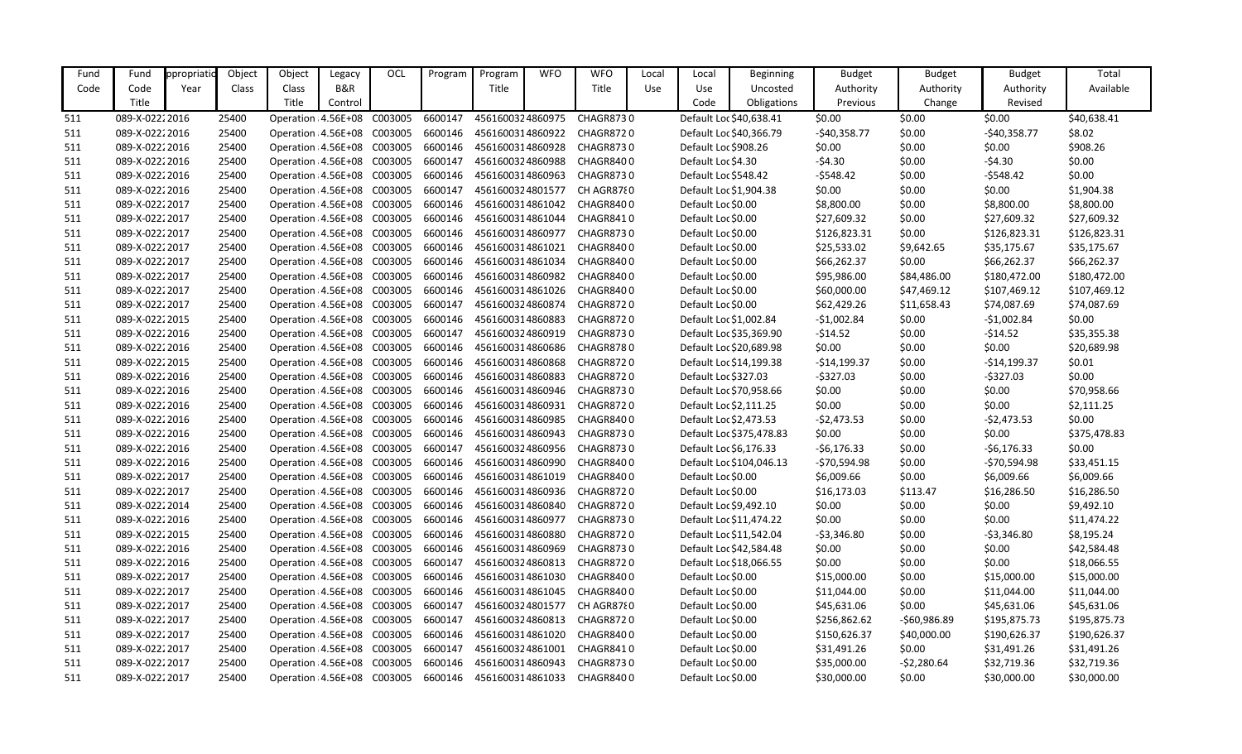| Fund | Fund            | ppropriatio | Object | Object                       | Legacy  | OCL | Program | Program          | <b>WFO</b> | <b>WFO</b>                                                      | Local | Local                  | <b>Beginning</b>         | <b>Budget</b> | <b>Budget</b> | <b>Budget</b> | Total        |
|------|-----------------|-------------|--------|------------------------------|---------|-----|---------|------------------|------------|-----------------------------------------------------------------|-------|------------------------|--------------------------|---------------|---------------|---------------|--------------|
| Code | Code            | Year        | Class  | Class                        | B&R     |     |         | Title            |            | Title                                                           | Use   | <b>Use</b>             | Uncosted                 | Authority     | Authority     | Authority     | Available    |
|      | Title           |             |        | Title                        | Control |     |         |                  |            |                                                                 |       | Code                   | Obligations              | Previous      | Change        | Revised       |              |
| 511  | 089-X-02222016  |             | 25400  | Operation : 4.56E+08 C003005 |         |     | 6600147 | 4561600324860975 |            | <b>CHAGR8730</b>                                                |       |                        | Default Loc \$40,638.41  | \$0.00        | \$0.00        | \$0.00        | \$40,638.41  |
| 511  | 089-X-02222016  |             | 25400  | Operation : 4.56E+08 C003005 |         |     | 6600146 | 4561600314860922 |            | CHAGR8720                                                       |       |                        | Default Loc \$40,366.79  | $-$40,358.77$ | \$0.00        | $-$40,358.77$ | \$8.02       |
| 511  | 089-X-02222016  |             | 25400  | Operation: 4.56E+08 C003005  |         |     | 6600146 | 4561600314860928 |            | CHAGR8730                                                       |       | Default Loc \$908.26   |                          | \$0.00        | \$0.00        | \$0.00        | \$908.26     |
| 511  | 089-X-02222016  |             | 25400  | Operation: 4.56E+08 C003005  |         |     | 6600147 | 4561600324860988 |            | CHAGR8400                                                       |       | Default Loc \$4.30     |                          | $-54.30$      | \$0.00        | $-54.30$      | \$0.00       |
| 511  | 089-X-02222016  |             | 25400  | Operation : 4.56E+08 C003005 |         |     | 6600146 | 4561600314860963 |            | CHAGR8730                                                       |       | Default Loc \$548.42   |                          | $-5548.42$    | \$0.00        | $-$ \$548.42  | \$0.00       |
| 511  | 089-X-02222016  |             | 25400  | Operation : 4.56E+08 C003005 |         |     | 6600147 | 4561600324801577 |            | CH AGR8780                                                      |       | Default Loc \$1,904.38 |                          | \$0.00        | \$0.00        | \$0.00        | \$1,904.38   |
| 511  | 089-X-02222017  |             | 25400  | Operation: 4.56E+08 C003005  |         |     | 6600146 | 4561600314861042 |            | CHAGR8400                                                       |       | Default Loc \$0.00     |                          | \$8,800.00    | \$0.00        | \$8,800.00    | \$8,800.00   |
| 511  | 089-X-02222017  |             | 25400  | Operation: 4.56E+08 C003005  |         |     | 6600146 | 4561600314861044 |            | CHAGR8410                                                       |       | Default Loc \$0.00     |                          | \$27,609.32   | \$0.00        | \$27,609.32   | \$27,609.32  |
| 511  | 089-X-02222017  |             | 25400  | Operation : 4.56E+08 C003005 |         |     | 6600146 | 4561600314860977 |            | CHAGR8730                                                       |       | Default Loc \$0.00     |                          | \$126,823.31  | \$0.00        | \$126,823.31  | \$126,823.31 |
| 511  | 089-X-02222017  |             | 25400  | Operation : 4.56E+08 C003005 |         |     | 6600146 | 4561600314861021 |            | CHAGR8400                                                       |       | Default Loc \$0.00     |                          | \$25,533.02   | \$9,642.65    | \$35,175.67   | \$35,175.67  |
| 511  | 089-X-02222017  |             | 25400  | Operation : 4.56E+08 C003005 |         |     | 6600146 | 4561600314861034 |            | CHAGR8400                                                       |       | Default Loc \$0.00     |                          | \$66,262.37   | \$0.00        | \$66,262.37   | \$66,262.37  |
| 511  | 089-X-02222017  |             | 25400  | Operation : 4.56E+08 C003005 |         |     | 6600146 | 4561600314860982 |            | CHAGR8400                                                       |       | Default Loc \$0.00     |                          | \$95,986.00   | \$84,486.00   | \$180,472.00  | \$180,472.00 |
| 511  | 089-X-02222017  |             | 25400  | Operation : 4.56E+08 C003005 |         |     | 6600146 | 4561600314861026 |            | CHAGR8400                                                       |       | Default Loc \$0.00     |                          | \$60,000.00   | \$47,469.12   | \$107,469.12  | \$107,469.12 |
| 511  | 089-X-02222017  |             | 25400  | Operation : 4.56E+08 C003005 |         |     | 6600147 | 4561600324860874 |            | CHAGR8720                                                       |       | Default Loc \$0.00     |                          | \$62,429.26   | \$11,658.43   | \$74,087.69   | \$74,087.69  |
| 511  | 089-X-02222015  |             | 25400  | Operation: 4.56E+08 C003005  |         |     | 6600146 | 4561600314860883 |            | <b>CHAGR8720</b>                                                |       | Default Loc \$1,002.84 |                          | $-$1,002.84$  | \$0.00        | $-$1,002.84$  | \$0.00       |
| 511  | 089-X-02222016  |             | 25400  | Operation : 4.56E+08 C003005 |         |     | 6600147 | 4561600324860919 |            | CHAGR8730                                                       |       |                        | Default Loc \$35,369.90  | $-514.52$     | \$0.00        | $-514.52$     | \$35,355.38  |
| 511  | 089-X-02222016  |             | 25400  | Operation : 4.56E+08 C003005 |         |     | 6600146 | 4561600314860686 |            | CHAGR8780                                                       |       |                        | Default Loc \$20,689.98  | \$0.00        | \$0.00        | \$0.00        | \$20,689.98  |
| 511  | 089-X-02222015  |             | 25400  | Operation : 4.56E+08 C003005 |         |     | 6600146 | 4561600314860868 |            | CHAGR8720                                                       |       |                        | Default Loc \$14,199.38  | $-$14,199.37$ | \$0.00        | $-$14,199.37$ | \$0.01       |
| 511  | 089-X-02222016  |             | 25400  | Operation: 4.56E+08 C003005  |         |     | 6600146 | 4561600314860883 |            | CHAGR8720                                                       |       | Default Loc \$327.03   |                          | $-5327.03$    | \$0.00        | $-$327.03$    | \$0.00       |
| 511  | 089-X-02222016  |             | 25400  | Operation : 4.56E+08 C003005 |         |     | 6600146 | 4561600314860946 |            | CHAGR8730                                                       |       |                        | Default Loc \$70,958.66  | \$0.00        | \$0.00        | \$0.00        | \$70,958.66  |
| 511  | 089-X-02222016  |             | 25400  | Operation : 4.56E+08 C003005 |         |     | 6600146 | 4561600314860931 |            | CHAGR8720                                                       |       | Default Loc \$2,111.25 |                          | \$0.00        | \$0.00        | \$0.00        | \$2,111.25   |
| 511  | 089-X-02222016  |             | 25400  | Operation: 4.56E+08 C003005  |         |     | 6600146 | 4561600314860985 |            | CHAGR8400                                                       |       | Default Loc \$2,473.53 |                          | $-52,473.53$  | \$0.00        | $-52,473.53$  | \$0.00       |
| 511  | 089-X-02222016  |             | 25400  | Operation: 4.56E+08 C003005  |         |     | 6600146 | 4561600314860943 |            | CHAGR8730                                                       |       |                        | Default Loc \$375,478.83 | \$0.00        | \$0.00        | \$0.00        | \$375,478.83 |
| 511  | 089-X-02222016  |             | 25400  | Operation : 4.56E+08 C003005 |         |     | 6600147 | 4561600324860956 |            | CHAGR8730                                                       |       | Default Loc \$6,176.33 |                          | $-56,176.33$  | \$0.00        | $-56,176.33$  | \$0.00       |
| 511  | 089-X-02222016  |             | 25400  | Operation : 4.56E+08 C003005 |         |     | 6600146 | 4561600314860990 |            | CHAGR8400                                                       |       |                        | Default Loc \$104,046.13 | $-570,594.98$ | \$0.00        | $-570,594.98$ | \$33,451.15  |
| 511  | 089-X-02222017  |             | 25400  | Operation: 4.56E+08 C003005  |         |     | 6600146 | 4561600314861019 |            | CHAGR8400                                                       |       | Default Loc \$0.00     |                          | \$6,009.66    | \$0.00        | \$6,009.66    | \$6,009.66   |
| 511  | 089-X-02222017  |             | 25400  | Operation : 4.56E+08 C003005 |         |     | 6600146 | 4561600314860936 |            | CHAGR8720                                                       |       | Default Loc \$0.00     |                          | \$16,173.03   | \$113.47      | \$16,286.50   | \$16,286.50  |
| 511  | 089-X-02222014  |             | 25400  | Operation: 4.56E+08 C003005  |         |     | 6600146 | 4561600314860840 |            | CHAGR8720                                                       |       | Default Loc \$9,492.10 |                          | \$0.00        | \$0.00        | \$0.00        | \$9,492.10   |
| 511  | 089-X-0222 2016 |             | 25400  |                              |         |     |         |                  |            | Operation : 4.56E+08 C003005 6600146 4561600314860977 CHAGR8730 |       |                        | Default Loc \$11,474.22  | \$0.00        | \$0.00        | \$0.00        | \$11,474.22  |
| 511  | 089-X-02222015  |             | 25400  | Operation: 4.56E+08 C003005  |         |     | 6600146 | 4561600314860880 |            | CHAGR8720                                                       |       |                        | Default Loc \$11,542.04  | $-53,346.80$  | \$0.00        | $-53,346.80$  | \$8,195.24   |
| 511  | 089-X-02222016  |             | 25400  | Operation: 4.56E+08 C003005  |         |     | 6600146 | 4561600314860969 |            | CHAGR8730                                                       |       |                        | Default Loc \$42,584.48  | \$0.00        | \$0.00        | \$0.00        | \$42,584.48  |
| 511  | 089-X-02222016  |             | 25400  | Operation : 4.56E+08 C003005 |         |     | 6600147 | 4561600324860813 |            | CHAGR8720                                                       |       |                        | Default Loc \$18,066.55  | \$0.00        | \$0.00        | \$0.00        | \$18,066.55  |
| 511  | 089-X-02222017  |             | 25400  | Operation: 4.56E+08 C003005  |         |     | 6600146 | 4561600314861030 |            | CHAGR8400                                                       |       | Default Loc \$0.00     |                          | \$15,000.00   | \$0.00        | \$15,000.00   | \$15,000.00  |
| 511  | 089-X-02222017  |             | 25400  | Operation: 4.56E+08 C003005  |         |     | 6600146 | 4561600314861045 |            | CHAGR8400                                                       |       | Default Loc \$0.00     |                          | \$11,044.00   | \$0.00        | \$11,044.00   | \$11,044.00  |
| 511  | 089-X-02222017  |             | 25400  | Operation: 4.56E+08 C003005  |         |     | 6600147 | 4561600324801577 |            | CH AGR8780                                                      |       | Default Loc \$0.00     |                          | \$45,631.06   | \$0.00        | \$45,631.06   | \$45,631.06  |
| 511  | 089-X-02222017  |             | 25400  | Operation: 4.56E+08 C003005  |         |     | 6600147 | 4561600324860813 |            | CHAGR8720                                                       |       | Default Loc \$0.00     |                          | \$256,862.62  | $-560,986.89$ | \$195,875.73  | \$195,875.73 |
| 511  | 089-X-02222017  |             | 25400  | Operation: 4.56E+08 C003005  |         |     | 6600146 | 4561600314861020 |            | CHAGR8400                                                       |       | Default Loc \$0.00     |                          | \$150,626.37  | \$40,000.00   | \$190,626.37  | \$190,626.37 |
| 511  | 089-X-02222017  |             | 25400  | Operation: 4.56E+08 C003005  |         |     | 6600147 | 4561600324861001 |            | CHAGR8410                                                       |       | Default Loc \$0.00     |                          | \$31,491.26   | \$0.00        | \$31,491.26   | \$31,491.26  |
| 511  | 089-X-02222017  |             | 25400  | Operation: 4.56E+08 C003005  |         |     | 6600146 | 4561600314860943 |            | CHAGR8730                                                       |       | Default Loc \$0.00     |                          | \$35,000.00   | -\$2,280.64   | \$32,719.36   | \$32,719.36  |
| 511  | 089-X-02222017  |             | 25400  | Operation: 4.56E+08 C003005  |         |     | 6600146 | 4561600314861033 |            | CHAGR8400                                                       |       | Default Loc \$0.00     |                          | \$30,000.00   | \$0.00        | \$30,000.00   | \$30,000.00  |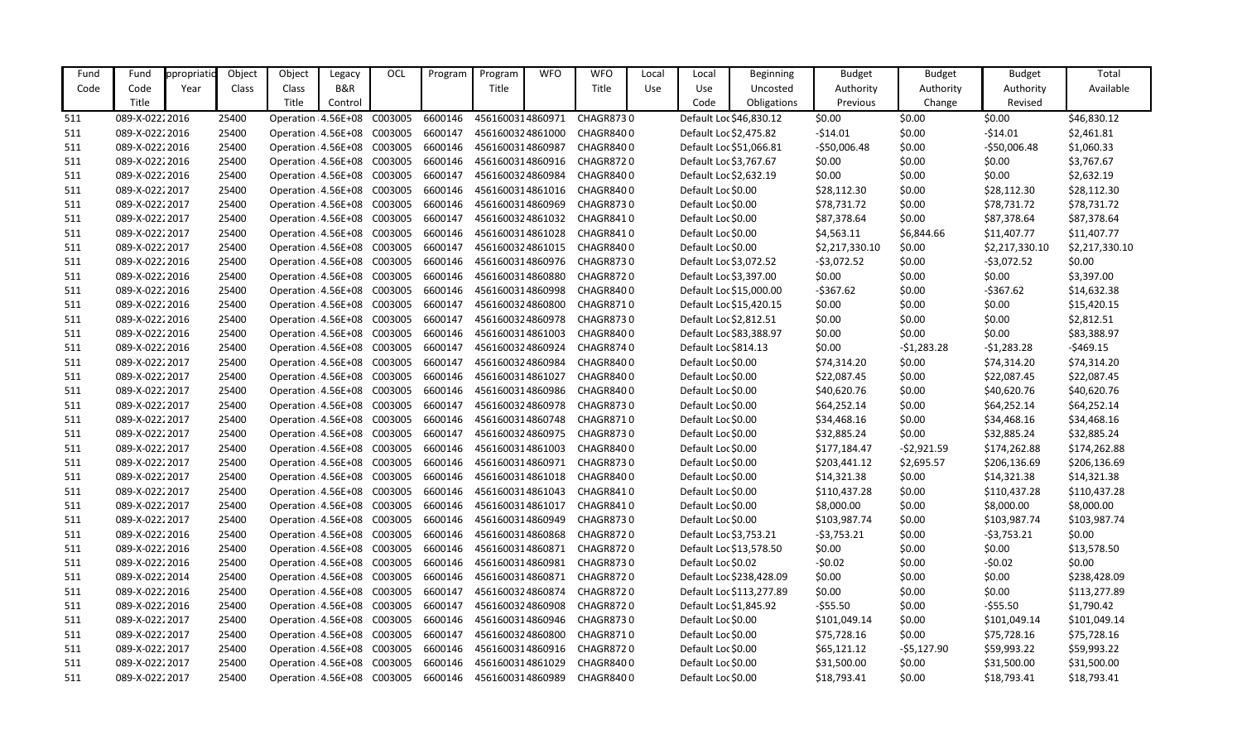| Fund | Fund           | ppropriatio | Object | Object                             | Legacy  | OCL | Program | Program          | <b>WFO</b> | <b>WFO</b>                 | Local | Local                   | <b>Beginning</b>         | <b>Budget</b>  | <b>Budget</b> | <b>Budget</b>  | Total          |
|------|----------------|-------------|--------|------------------------------------|---------|-----|---------|------------------|------------|----------------------------|-------|-------------------------|--------------------------|----------------|---------------|----------------|----------------|
| Code | Code           | Year        | Class  | Class                              | B&R     |     |         | Title            |            | Title                      | Use   | Use                     | Uncosted                 | Authority      | Authority     | Authority      | Available      |
|      | Title          |             |        | Title                              | Control |     |         |                  |            |                            |       | Code                    | Obligations              | Previous       | Change        | Revised        |                |
| 511  | 089-X-02222016 |             | 25400  | Operation : 4.56E+08 C003005       |         |     | 6600146 | 4561600314860971 |            | <b>CHAGR8730</b>           |       |                         | Default Loc \$46,830.12  | \$0.00         | \$0.00        | \$0.00         | \$46,830.12    |
| 511  | 089-X-02222016 |             | 25400  | Operation : 4.56E+08 C003005       |         |     | 6600147 | 4561600324861000 |            | CHAGR8400                  |       | Default Loc \$2,475.82  |                          | $-514.01$      | \$0.00        | $-514.01$      | \$2,461.81     |
| 511  | 089-X-02222016 |             | 25400  | Operation : 4.56E+08 C003005       |         |     | 6600146 | 4561600314860987 |            | CHAGR8400                  |       | Default Loc \$51,066.81 |                          | $-$50,006.48$  | \$0.00        | $-$50,006.48$  | \$1,060.33     |
| 511  | 089-X-02222016 |             | 25400  | Operation : 4.56E+08 C003005       |         |     | 6600146 |                  |            | 4561600314860916 CHAGR8720 |       | Default Loc \$3,767.67  |                          | \$0.00         | \$0.00        | \$0.00         | \$3,767.67     |
| 511  | 089-X-02222016 |             | 25400  | Operation : 4.56E+08 C003005       |         |     | 6600147 | 4561600324860984 |            | CHAGR8400                  |       | Default Loc \$2,632.19  |                          | \$0.00         | \$0.00        | \$0.00         | \$2,632.19     |
| 511  | 089-X-02222017 |             | 25400  | Operation : 4.56E+08 C003005       |         |     | 6600146 | 4561600314861016 |            | CHAGR8400                  |       | Default Loc \$0.00      |                          | \$28,112.30    | \$0.00        | \$28,112.30    | \$28,112.30    |
| 511  | 089-X-02222017 |             | 25400  | Operation : 4.56E+08 C003005       |         |     | 6600146 | 4561600314860969 |            | CHAGR8730                  |       | Default Loc \$0.00      |                          | \$78,731.72    | \$0.00        | \$78,731.72    | \$78,731.72    |
| 511  | 089-X-02222017 |             | 25400  | Operation : 4.56E+08 C003005       |         |     | 6600147 | 4561600324861032 |            | CHAGR8410                  |       | Default Loc \$0.00      |                          | \$87,378.64    | \$0.00        | \$87,378.64    | \$87,378.64    |
| 511  | 089-X-02222017 |             | 25400  | Operation : 4.56E+08 C003005       |         |     | 6600146 | 4561600314861028 |            | CHAGR8410                  |       | Default Loc \$0.00      |                          | \$4,563.11     | \$6,844.66    | \$11,407.77    | \$11,407.77    |
| 511  | 089-X-02222017 |             | 25400  | Operation : 4.56E+08 C003005       |         |     | 6600147 | 4561600324861015 |            | CHAGR8400                  |       | Default Loc \$0.00      |                          | \$2,217,330.10 | \$0.00        | \$2,217,330.10 | \$2,217,330.10 |
| 511  | 089-X-02222016 |             | 25400  | Operation : 4.56E+08 C003005       |         |     | 6600146 | 4561600314860976 |            | CHAGR8730                  |       | Default Loc \$3,072.52  |                          | $-53,072.52$   | \$0.00        | $-53,072.52$   | \$0.00         |
| 511  | 089-X-02222016 |             | 25400  | Operation : 4.56E+08 C003005       |         |     | 6600146 | 4561600314860880 |            | CHAGR8720                  |       | Default Loc \$3,397.00  |                          | \$0.00         | \$0.00        | \$0.00         | \$3,397.00     |
| 511  | 089-X-02222016 |             | 25400  | Operation : 4.56E+08 C003005       |         |     | 6600146 | 4561600314860998 |            | CHAGR8400                  |       |                         | Default Loc \$15,000.00  | $-5367.62$     | \$0.00        | $-5367.62$     | \$14,632.38    |
| 511  | 089-X-02222016 |             | 25400  | Operation : 4.56E+08 C003005       |         |     | 6600147 | 4561600324860800 |            | <b>CHAGR8710</b>           |       |                         | Default Loc \$15,420.15  | \$0.00         | \$0.00        | \$0.00         | \$15,420.15    |
| 511  | 089-X-02222016 |             | 25400  | Operation: 4.56E+08 C003005        |         |     | 6600147 | 4561600324860978 |            | CHAGR8730                  |       | Default Loc \$2,812.51  |                          | \$0.00         | \$0.00        | \$0.00         | \$2,812.51     |
| 511  | 089-X-02222016 |             | 25400  | Operation 4.56E+08 C003005         |         |     | 6600146 | 4561600314861003 |            | CHAGR8400                  |       |                         | Default Loc \$83,388.97  | \$0.00         | \$0.00        | \$0.00         | \$83,388.97    |
| 511  | 089-X-02222016 |             | 25400  | Operation : 4.56E+08 C003005       |         |     | 6600147 | 4561600324860924 |            | CHAGR8740                  |       | Default Loc \$814.13    |                          | \$0.00         | $-51,283.28$  | $-51,283.28$   | $-5469.15$     |
| 511  | 089-X-02222017 |             | 25400  | Operation : 4.56E+08 C003005       |         |     | 6600147 | 4561600324860984 |            | CHAGR8400                  |       | Default Loc \$0.00      |                          | \$74,314.20    | \$0.00        | \$74,314.20    | \$74,314.20    |
| 511  | 089-X-02222017 |             | 25400  | Operation : 4.56E+08 C003005       |         |     | 6600146 | 4561600314861027 |            | CHAGR8400                  |       | Default Loc \$0.00      |                          | \$22,087.45    | \$0.00        | \$22,087.45    | \$22,087.45    |
| 511  | 089-X-02222017 |             | 25400  | Operation : 4.56E+08 C003005       |         |     | 6600146 | 4561600314860986 |            | CHAGR8400                  |       | Default Loc \$0.00      |                          | \$40,620.76    | \$0.00        | \$40,620.76    | \$40,620.76    |
| 511  | 089-X-02222017 |             | 25400  | Operation : 4.56E+08 C003005       |         |     | 6600147 | 4561600324860978 |            | CHAGR8730                  |       | Default Loc \$0.00      |                          | \$64,252.14    | \$0.00        | \$64,252.14    | \$64,252.14    |
| 511  | 089-X-02222017 |             | 25400  | Operation : 4.56E+08 C003005       |         |     | 6600146 | 4561600314860748 |            | CHAGR8710                  |       | Default Loc \$0.00      |                          | \$34,468.16    | \$0.00        | \$34,468.16    | \$34,468.16    |
| 511  | 089-X-02222017 |             | 25400  | Operation : 4.56E+08 C003005       |         |     | 6600147 | 4561600324860975 |            | CHAGR8730                  |       | Default Loc \$0.00      |                          | \$32,885.24    | \$0.00        | \$32,885.24    | \$32,885.24    |
| 511  | 089-X-02222017 |             | 25400  | Operation : 4.56E+08 C003005       |         |     | 6600146 | 4561600314861003 |            | CHAGR8400                  |       | Default Loc \$0.00      |                          | \$177,184.47   | $-52,921.59$  | \$174,262.88   | \$174,262.88   |
| 511  | 089-X-02222017 |             | 25400  | Operation : 4.56E+08 C003005       |         |     | 6600146 | 4561600314860971 |            | <b>CHAGR8730</b>           |       | Default Loc \$0.00      |                          | \$203,441.12   | \$2,695.57    | \$206,136.69   | \$206,136.69   |
| 511  | 089-X-02222017 |             | 25400  | Operation : 4.56E+08 C003005       |         |     | 6600146 | 4561600314861018 |            | CHAGR8400                  |       | Default Loc \$0.00      |                          | \$14,321.38    | \$0.00        | \$14,321.38    | \$14,321.38    |
| 511  | 089-X-02222017 |             | 25400  | Operation 4.56E+08 C003005         |         |     | 6600146 | 4561600314861043 |            | CHAGR8410                  |       | Default Loc \$0.00      |                          | \$110,437.28   | \$0.00        | \$110,437.28   | \$110,437.28   |
| 511  | 089-X-02222017 |             | 25400  | Operation: 4.56E+08 C003005        |         |     | 6600146 |                  |            | 4561600314861017 CHAGR8410 |       | Default Loc \$0.00      |                          | \$8,000.00     | \$0.00        | \$8,000.00     | \$8,000.00     |
| 511  | 089-X-02222017 |             | 25400  | Operation 4.56E+08 C003005 6600146 |         |     |         |                  |            | 4561600314860949 CHAGR8730 |       | Default Loc \$0.00      |                          | \$103,987.74   | \$0.00        | \$103,987.74   | \$103,987.74   |
| 511  | 089-X-02222016 |             | 25400  | Operation : 4.56E+08 C003005       |         |     | 6600146 | 4561600314860868 |            | CHAGR8720                  |       | Default Loc \$3,753.21  |                          | $-53,753.21$   | \$0.00        | $-53,753.21$   | \$0.00         |
| 511  | 089-X-02222016 |             | 25400  | Operation : 4.56E+08 C003005       |         |     | 6600146 |                  |            | 4561600314860871 CHAGR8720 |       |                         | Default Loc \$13,578.50  | \$0.00         | \$0.00        | \$0.00         | \$13,578.50    |
| 511  | 089-X-02222016 |             | 25400  | Operation : 4.56E+08 C003005       |         |     | 6600146 | 4561600314860981 |            | CHAGR8730                  |       | Default Loc \$0.02      |                          | -\$0.02        | \$0.00        | $-50.02$       | \$0.00         |
| 511  | 089-X-02222014 |             | 25400  | Operation : 4.56E+08 C003005       |         |     | 6600146 | 4561600314860871 |            | CHAGR8720                  |       |                         | Default Loc \$238,428.09 | \$0.00         | \$0.00        | \$0.00         | \$238,428.09   |
| 511  | 089-X-02222016 |             | 25400  | Operation : 4.56E+08 C003005       |         |     | 6600147 | 4561600324860874 |            | CHAGR8720                  |       |                         | Default Loc \$113,277.89 | \$0.00         | \$0.00        | \$0.00         | \$113,277.89   |
| 511  | 089-X-02222016 |             | 25400  | Operation : 4.56E+08 C003005       |         |     | 6600147 | 4561600324860908 |            | CHAGR8720                  |       | Default Loc \$1,845.92  |                          | $-555.50$      | \$0.00        | $-555.50$      | \$1,790.42     |
| 511  | 089-X-02222017 |             | 25400  | Operation : 4.56E+08 C003005       |         |     | 6600146 | 4561600314860946 |            | CHAGR8730                  |       | Default Loc \$0.00      |                          | \$101,049.14   | \$0.00        | \$101,049.14   | \$101,049.14   |
| 511  | 089-X-02222017 |             | 25400  | Operation : 4.56E+08 C003005       |         |     | 6600147 | 4561600324860800 |            | CHAGR8710                  |       | Default Loc \$0.00      |                          | \$75,728.16    | \$0.00        | \$75,728.16    | \$75,728.16    |
| 511  | 089-X-02222017 |             | 25400  | Operation : 4.56E+08 C003005       |         |     | 6600146 |                  |            | 4561600314860916 CHAGR8720 |       | Default Loc \$0.00      |                          | \$65,121.12    | $-55,127.90$  | \$59,993.22    | \$59,993.22    |
| 511  | 089-X-02222017 |             | 25400  | Operation : 4.56E+08 C003005       |         |     | 6600146 | 4561600314861029 |            | CHAGR8400                  |       | Default Loc \$0.00      |                          | \$31,500.00    | \$0.00        | \$31,500.00    | \$31,500.00    |
| 511  | 089-X-02222017 |             | 25400  | Operation 4.56E+08 C003005         |         |     | 6600146 |                  |            | 4561600314860989 CHAGR8400 |       | Default Loc \$0.00      |                          | \$18,793.41    | \$0.00        | \$18,793.41    | \$18,793.41    |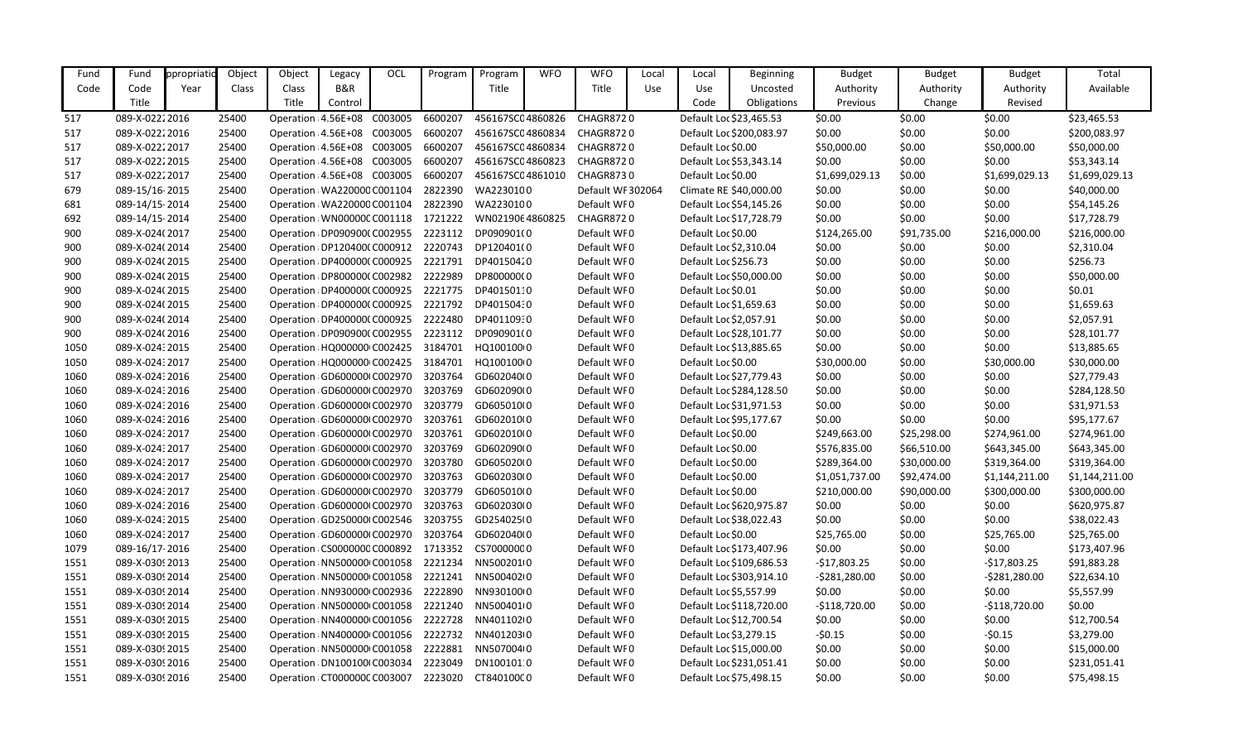| Fund | Fund            | ppropriati | Object | Object                       | Legacy  | OCL     | Program | Program          | <b>WFO</b> | <b>WFO</b>        | Local | Local                  | <b>Beginning</b>         | <b>Budget</b>  | <b>Budget</b> | <b>Budget</b>  | Total          |
|------|-----------------|------------|--------|------------------------------|---------|---------|---------|------------------|------------|-------------------|-------|------------------------|--------------------------|----------------|---------------|----------------|----------------|
| Code | Code            | Year       | Class  | Class                        | B&R     |         |         | Title            |            | Title             | Use   | Use                    | Uncosted                 | Authority      | Authority     | Authority      | Available      |
|      | Title           |            |        | Title                        | Control |         |         |                  |            |                   |       | Code                   | Obligations              | Previous       | Change        | Revised        |                |
| 517  | 089-X-02222016  |            | 25400  | Operation: 4.56E+08          |         | C003005 | 6600207 | 456167SC04860826 |            | CHAGR8720         |       |                        | Default Loc \$23,465.53  | \$0.00         | \$0.00        | \$0.00         | \$23,465.53    |
| 517  | 089-X-02222016  |            | 25400  | Operation : 4.56E+08 C003005 |         |         | 6600207 | 456167SC04860834 |            | CHAGR8720         |       |                        | Default Loc \$200,083.97 | \$0.00         | \$0.00        | \$0.00         | \$200,083.97   |
| 517  | 089-X-02222017  |            | 25400  | Operation: 4.56E+08 C003005  |         |         | 6600207 | 456167SC04860834 |            | CHAGR8720         |       | Default Loc \$0.00     |                          | \$50,000.00    | \$0.00        | \$50,000.00    | \$50,000.00    |
| 517  | 089-X-02222015  |            | 25400  | Operation: 4.56E+08 C003005  |         |         | 6600207 | 456167SC04860823 |            | CHAGR8720         |       |                        | Default Loc \$53,343.14  | \$0.00         | \$0.00        | \$0.00         | \$53,343.14    |
| 517  | 089-X-02222017  |            | 25400  | Operation : 4.56E+08 C003005 |         |         | 6600207 | 456167SC04861010 |            | <b>CHAGR8730</b>  |       | Default Loc \$0.00     |                          | \$1,699,029.13 | \$0.00        | \$1,699,029.13 | \$1,699,029.13 |
| 679  | 089-15/16-2015  |            | 25400  | Operation: WA220000 C001104  |         |         | 2822390 | WA2230100        |            | Default WF 302064 |       |                        | Climate RE \$40,000.00   | \$0.00         | \$0.00        | \$0.00         | \$40,000.00    |
| 681  | 089-14/15-2014  |            | 25400  | Operation: WA220000 C001104  |         |         | 2822390 | WA2230100        |            | Default WF0       |       |                        | Default Loc \$54,145.26  | \$0.00         | \$0.00        | \$0.00         | \$54,145.26    |
| 692  | 089-14/15-2014  |            | 25400  | Operation: WN00000C C001118  |         |         | 1721222 | WN0219064860825  |            | <b>CHAGR8720</b>  |       |                        | Default Loc \$17,728.79  | \$0.00         | \$0.00        | \$0.00         | \$17,728.79    |
| 900  | 089-X-024(2017  |            | 25400  | Operation : DP090900(C002955 |         |         | 2223112 | DP090901(0       |            | Default WF0       |       | Default Loc \$0.00     |                          | \$124,265.00   | \$91,735.00   | \$216,000.00   | \$216,000.00   |
| 900  | 089-X-024(2014  |            | 25400  | Operation DP120400(C000912   |         |         | 2220743 | DP120401(0       |            | Default WF0       |       | Default Loc \$2,310.04 |                          | \$0.00         | \$0.00        | \$0.00         | \$2,310.04     |
| 900  | 089-X-024(2015  |            | 25400  | Operation: DP400000(C000925  |         |         | 2221791 | DP40150420       |            | Default WF0       |       | Default Loc \$256.73   |                          | \$0.00         | \$0.00        | \$0.00         | \$256.73       |
| 900  | 089-X-024(2015  |            | 25400  | Operation DP800000(C002982   |         |         | 2222989 | DP800000(0       |            | Default WF0       |       |                        | Default Loc \$50,000.00  | \$0.00         | \$0.00        | \$0.00         | \$50,000.00    |
| 900  | 089-X-024(2015  |            | 25400  | Operation DP400000(C000925   |         |         | 2221775 | DP40150110       |            | Default WF0       |       | Default Loc \$0.01     |                          | \$0.00         | \$0.00        | \$0.00         | \$0.01         |
| 900  | 089-X-024(2015  |            | 25400  | Operation : DP400000(C000925 |         |         | 2221792 | DP40150430       |            | Default WF0       |       | Default Loc \$1,659.63 |                          | \$0.00         | \$0.00        | \$0.00         | \$1,659.63     |
| 900  | 089-X-024(2014  |            | 25400  | Operation : DP400000(C000925 |         |         | 2222480 | DP40110930       |            | Default WF0       |       | Default Loc \$2,057.91 |                          | \$0.00         | \$0.00        | \$0.00         | \$2,057.91     |
| 900  | 089-X-024(2016  |            | 25400  | Operation: DP090900(C002955  |         |         | 2223112 | DP090901(0       |            | Default WF0       |       |                        | Default Loc \$28,101.77  | \$0.00         | \$0.00        | \$0.00         | \$28,101.77    |
| 1050 | 089-X-02432015  |            | 25400  | Operation : HQ000000 C002425 |         |         | 3184701 | HQ100100(0       |            | Default WF0       |       |                        | Default Loc \$13,885.65  | \$0.00         | \$0.00        | \$0.00         | \$13,885.65    |
| 1050 | 089-X-02432017  |            | 25400  | Operation : HQ000000 C002425 |         |         | 3184701 | HQ100100(0       |            | Default WF0       |       | Default Loc \$0.00     |                          | \$30,000.00    | \$0.00        | \$30,000.00    | \$30,000.00    |
| 1060 | 089-X-02432016  |            | 25400  | Operation: GD600000 C002970  |         |         | 3203764 | GD602040(0       |            | Default WF0       |       |                        | Default Loc \$27,779.43  | \$0.00         | \$0.00        | \$0.00         | \$27,779.43    |
| 1060 | 089-X-02432016  |            | 25400  | Operation GD600000 C002970   |         |         | 3203769 | GD602090(0       |            | Default WF0       |       |                        | Default Loc \$284,128.50 | \$0.00         | \$0.00        | \$0.00         | \$284,128.50   |
| 1060 | 089-X-02432016  |            | 25400  | Operation GD600000 C002970   |         |         | 3203779 | GD605010(0       |            | Default WF0       |       |                        | Default Loc \$31,971.53  | \$0.00         | \$0.00        | \$0.00         | \$31,971.53    |
| 1060 | 089-X-02432016  |            | 25400  | Operation: GD600000 C002970  |         |         | 3203761 | GD602010(0       |            | Default WF0       |       |                        | Default Loc \$95,177.67  | \$0.00         | \$0.00        | \$0.00         | \$95,177.67    |
| 1060 | 089-X-024: 2017 |            | 25400  | Operation: GD600000 C002970  |         |         | 3203761 | GD602010(0       |            | Default WF0       |       | Default Loc \$0.00     |                          | \$249,663.00   | \$25,298.00   | \$274,961.00   | \$274,961.00   |
| 1060 | 089-X-02432017  |            | 25400  | Operation: GD600000 C002970  |         |         | 3203769 | GD602090(0       |            | Default WF0       |       | Default Loc \$0.00     |                          | \$576,835.00   | \$66,510.00   | \$643,345.00   | \$643,345.00   |
| 1060 | 089-X-024: 2017 |            | 25400  | Operation GD600000 C002970   |         |         | 3203780 | GD605020(0       |            | Default WF0       |       | Default Loc \$0.00     |                          | \$289,364.00   | \$30,000.00   | \$319,364.00   | \$319,364.00   |
| 1060 | 089-X-02432017  |            | 25400  | Operation: GD600000 C002970  |         |         | 3203763 | GD602030(0       |            | Default WF0       |       | Default Loc \$0.00     |                          | \$1,051,737.00 | \$92,474.00   | \$1,144,211.00 | \$1,144,211.00 |
| 1060 | 089-X-024: 2017 |            | 25400  | Operation GD600000 C002970   |         |         | 3203779 | GD605010(0       |            | Default WF0       |       | Default Loc \$0.00     |                          | \$210,000.00   | \$90,000.00   | \$300,000.00   | \$300,000.00   |
| 1060 | 089-X-024: 2016 |            | 25400  | Operation : GD600000 C002970 |         |         | 3203763 | GD602030(0       |            | Default WF0       |       |                        | Default Loc \$620,975.87 | \$0.00         | \$0.00        | \$0.00         | \$620,975.87   |
| 1060 | 089-X-024: 2015 |            | 25400  | Operation GD250000 C002546   |         |         | 3203755 | GD254025(0       |            | Default WF0       |       |                        | Default Loc \$38,022.43  | \$0.00         | \$0.00        | \$0.00         | \$38,022.43    |
| 1060 | 089-X-02432017  |            | 25400  | Operation GD600000 C002970   |         |         | 3203764 | GD602040(0       |            | Default WF0       |       | Default Loc \$0.00     |                          | \$25,765.00    | \$0.00        | \$25,765.00    | \$25,765.00    |
| 1079 | 089-16/17-2016  |            | 25400  | Operation: CS0000000 C000892 |         |         | 1713352 | CS70000000       |            | Default WF0       |       |                        | Default Loc \$173,407.96 | \$0.00         | \$0.00        | \$0.00         | \$173,407.96   |
| 1551 | 089-X-03092013  |            | 25400  | Operation : NN500000 C001058 |         |         | 2221234 | NN5002010        |            | Default WF0       |       |                        | Default Loc \$109,686.53 | $-$17,803.25$  | \$0.00        | $-$17,803.25$  | \$91,883.28    |
| 1551 | 089-X-0309 2014 |            | 25400  | Operation : NN500000 C001058 |         |         | 2221241 | NN50040210       |            | Default WF0       |       |                        | Default Loc \$303,914.10 | $-5281,280.00$ | \$0.00        | $-5281,280.00$ | \$22,634.10    |
| 1551 | 089-X-0309 2014 |            | 25400  | Operation : NN930000 C002936 |         |         | 2222890 | NN930100(0       |            | Default WF0       |       | Default Loc \$5,557.99 |                          | \$0.00         | \$0.00        | \$0.00         | \$5,557.99     |
| 1551 | 089-X-0309 2014 |            | 25400  | Operation: NN500000 C001058  |         |         | 2221240 | NN5004010        |            | Default WF0       |       |                        | Default Loc \$118,720.00 | $-$118,720.00$ | \$0.00        | $-$118,720.00$ | \$0.00         |
| 1551 | 089-X-03092015  |            | 25400  | Operation : NN400000 C001056 |         |         | 2222728 | NN401102I0       |            | Default WF0       |       |                        | Default Loc \$12,700.54  | \$0.00         | \$0.00        | \$0.00         | \$12,700.54    |
| 1551 | 089-X-0309 2015 |            | 25400  | Operation : NN400000 C001056 |         |         | 2222732 | NN401203(0       |            | Default WF0       |       | Default Loc \$3,279.15 |                          | $-50.15$       | \$0.00        | $-50.15$       | \$3,279.00     |
| 1551 | 089-X-0309 2015 |            | 25400  | Operation : NN500000 C001058 |         |         | 2222881 | NN507004(0       |            | Default WF0       |       |                        | Default Loc \$15,000.00  | \$0.00         | \$0.00        | \$0.00         | \$15,000.00    |
| 1551 | 089-X-0309 2016 |            | 25400  | Operation : DN100100 C003034 |         |         | 2223049 | DN100101:0       |            | Default WF0       |       |                        | Default Loc \$231,051.41 | \$0.00         | \$0.00        | \$0.00         | \$231,051.41   |
| 1551 | 089-X-0309 2016 |            | 25400  | Operation: CT000000C C003007 |         |         | 2223020 | CT84010000       |            | Default WF0       |       |                        | Default Loc \$75,498.15  | \$0.00         | \$0.00        | \$0.00         | \$75,498.15    |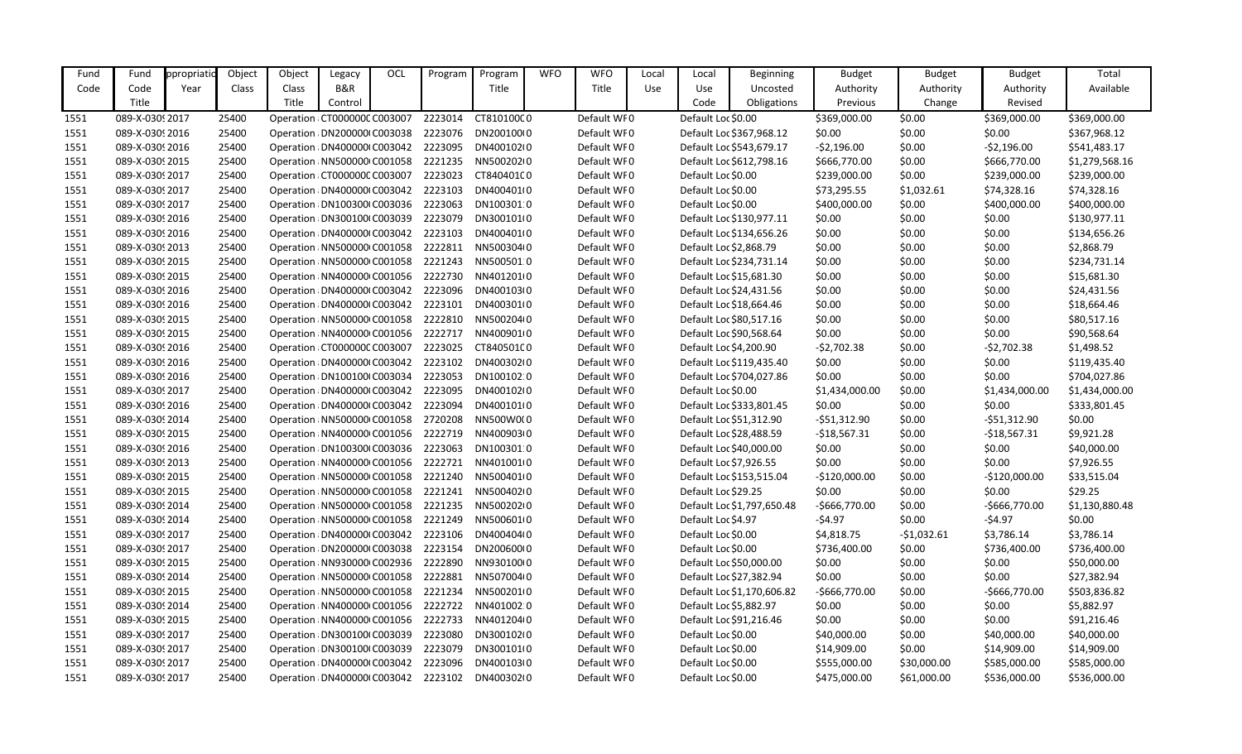| Fund | Fund            | ppropriatio | Object | Object | Legacy                        | OCL | Program | Program    | <b>WFO</b> | <b>WFO</b>  | Local | Local                  | Beginning                  | <b>Budget</b>  | <b>Budget</b> | <b>Budget</b>   | Total          |
|------|-----------------|-------------|--------|--------|-------------------------------|-----|---------|------------|------------|-------------|-------|------------------------|----------------------------|----------------|---------------|-----------------|----------------|
| Code | Code            | Year        | Class  | Class  | B&R                           |     |         | Title      |            | Title       | Use   | Use                    | Uncosted                   | Authority      | Authority     | Authority       | Available      |
|      | Title           |             |        | Title  | Control                       |     |         |            |            |             |       | Code                   | Obligations                | Previous       | Change        | Revised         |                |
| 1551 | 089-X-0309 2017 |             | 25400  |        | Operation CT000000C C003007   |     | 2223014 | CT81010000 |            | Default WF0 |       | Default Loc \$0.00     |                            | \$369,000.00   | \$0.00        | \$369,000.00    | \$369,000.00   |
| 1551 | 089-X-0309 2016 |             | 25400  |        | Operation : DN200000 C003038  |     | 2223076 | DN200100(0 |            | Default WF0 |       |                        | Default Loc \$367,968.12   | \$0.00         | \$0.00        | \$0.00          | \$367,968.12   |
| 1551 | 089-X-0309 2016 |             | 25400  |        | Operation : DN400000 C003042  |     | 2223095 | DN400102(0 |            | Default WF0 |       |                        | Default Loc \$543,679.17   | $-52,196.00$   | \$0.00        | $-52,196.00$    | \$541,483.17   |
| 1551 | 089-X-03092015  |             | 25400  |        | Operation: NN500000 C001058   |     | 2221235 | NN50020210 |            | Default WF0 |       |                        | Default Loc \$612,798.16   | \$666,770.00   | \$0.00        | \$666,770.00    | \$1,279,568.16 |
| 1551 | 089-X-0309 2017 |             | 25400  |        | Operation : CT000000C C003007 |     | 2223023 | CT84040100 |            | Default WF0 |       | Default Loc \$0.00     |                            | \$239,000.00   | \$0.00        | \$239,000.00    | \$239,000.00   |
| 1551 | 089-X-0309 2017 |             | 25400  |        | Operation : DN400000 C003042  |     | 2223103 | DN400401(0 |            | Default WF0 |       | Default Loc \$0.00     |                            | \$73,295.55    | \$1,032.61    | \$74,328.16     | \$74,328.16    |
| 1551 | 089-X-03092017  |             | 25400  |        | Operation : DN100300 C003036  |     | 2223063 | DN100301:0 |            | Default WF0 |       | Default Loc \$0.00     |                            | \$400,000.00   | \$0.00        | \$400,000.00    | \$400,000.00   |
| 1551 | 089-X-0309 2016 |             | 25400  |        | Operation: DN300100 C003039   |     | 2223079 | DN300101(0 |            | Default WF0 |       |                        | Default Loc \$130,977.11   | \$0.00         | \$0.00        | \$0.00          | \$130,977.11   |
| 1551 | 089-X-0309 2016 |             | 25400  |        | Operation : DN400000 C003042  |     | 2223103 | DN400401(0 |            | Default WF0 |       |                        | Default Loc \$134,656.26   | \$0.00         | \$0.00        | \$0.00          | \$134,656.26   |
| 1551 | 089-X-03092013  |             | 25400  |        | Operation: NN500000 C001058   |     | 2222811 | NN500304(0 |            | Default WF0 |       | Default Loc \$2,868.79 |                            | \$0.00         | \$0.00        | \$0.00          | \$2,868.79     |
| 1551 | 089-X-03092015  |             | 25400  |        | Operation: NN500000 C001058   |     | 2221243 | NN5005010  |            | Default WF0 |       |                        | Default Loc \$234,731.14   | \$0.00         | \$0.00        | \$0.00          | \$234,731.14   |
| 1551 | 089-X-03092015  |             | 25400  |        | Operation : NN400000 C001056  |     | 2222730 | NN4012010  |            | Default WF0 |       |                        | Default Loc \$15,681.30    | \$0.00         | \$0.00        | \$0.00          | \$15,681.30    |
| 1551 | 089-X-0309 2016 |             | 25400  |        | Operation : DN400000 C003042  |     | 2223096 | DN400103(0 |            | Default WF0 |       |                        | Default Loc \$24,431.56    | \$0.00         | \$0.00        | \$0.00          | \$24,431.56    |
| 1551 | 089-X-0309 2016 |             | 25400  |        | Operation : DN400000 C003042  |     | 2223101 | DN400301(0 |            | Default WF0 |       |                        | Default Loc \$18,664.46    | \$0.00         | \$0.00        | \$0.00          | \$18,664.46    |
| 1551 | 089-X-03092015  |             | 25400  |        | Operation: NN500000 C001058   |     | 2222810 | NN500204(0 |            | Default WF0 |       |                        | Default Loc \$80,517.16    | \$0.00         | \$0.00        | \$0.00          | \$80,517.16    |
| 1551 | 089-X-03092015  |             | 25400  |        | Operation : NN400000 C001056  |     | 2222717 | NN400901(0 |            | Default WF0 |       |                        | Default Loc \$90,568.64    | \$0.00         | \$0.00        | \$0.00          | \$90,568.64    |
| 1551 | 089-X-0309 2016 |             | 25400  |        | Operation : CT000000C C003007 |     | 2223025 | CT84050100 |            | Default WF0 |       | Default Loc \$4,200.90 |                            | $-52,702.38$   | \$0.00        | $-52,702.38$    | \$1,498.52     |
| 1551 | 089-X-0309 2016 |             | 25400  |        | Operation : DN400000 C003042  |     | 2223102 | DN400302(0 |            | Default WF0 |       |                        | Default Loc \$119,435.40   | \$0.00         | \$0.00        | \$0.00          | \$119,435.40   |
| 1551 | 089-X-0309 2016 |             | 25400  |        | Operation : DN100100 C003034  |     | 2223053 | DN100102:0 |            | Default WF0 |       |                        | Default Loc \$704,027.86   | \$0.00         | \$0.00        | \$0.00          | \$704,027.86   |
| 1551 | 089-X-0309 2017 |             | 25400  |        | Operation : DN400000 C003042  |     | 2223095 | DN400102(0 |            | Default WF0 |       | Default Loc \$0.00     |                            | \$1,434,000.00 | \$0.00        | \$1,434,000.00  | \$1,434,000.00 |
| 1551 | 089-X-0309 2016 |             | 25400  |        | Operation : DN400000 C003042  |     | 2223094 | DN400101(0 |            | Default WF0 |       |                        | Default Loc \$333,801.45   | \$0.00         | \$0.00        | \$0.00          | \$333,801.45   |
| 1551 | 089-X-0309 2014 |             | 25400  |        | Operation : NN500000 C001058  |     | 2720208 | NN500W0(0  |            | Default WF0 |       |                        | Default Loc \$51,312.90    | $-551,312.90$  | \$0.00        | $-$ \$51,312.90 | \$0.00         |
| 1551 | 089-X-03092015  |             | 25400  |        | Operation : NN400000 C001056  |     | 2222719 | NN400903(0 |            | Default WF0 |       |                        | Default Loc \$28,488.59    | $-$18,567.31$  | \$0.00        | $-$18,567.31$   | \$9,921.28     |
| 1551 | 089-X-0309 2016 |             | 25400  |        | Operation : DN100300 C003036  |     | 2223063 | DN100301:0 |            | Default WF0 |       |                        | Default Loc \$40,000.00    | \$0.00         | \$0.00        | \$0.00          | \$40,000.00    |
| 1551 | 089-X-0309 2013 |             | 25400  |        | Operation: NN400000 C001056   |     | 2222721 | NN401001(0 |            | Default WF0 |       | Default Loc \$7,926.55 |                            | \$0.00         | \$0.00        | \$0.00          | \$7,926.55     |
| 1551 | 089-X-03092015  |             | 25400  |        | Operation : NN500000 C001058  |     | 2221240 | NN500401(0 |            | Default WF0 |       |                        | Default Loc \$153,515.04   | $-$120,000.00$ | \$0.00        | $-$120,000.00$  | \$33,515.04    |
| 1551 | 089-X-03092015  |             | 25400  |        | Operation : NN500000 C001058  |     | 2221241 | NN50040210 |            | Default WF0 |       | Default Loc \$29.25    |                            | \$0.00         | \$0.00        | \$0.00          | \$29.25        |
| 1551 | 089-X-0309 2014 |             | 25400  |        | Operation : NN500000 C001058  |     | 2221235 | NN50020210 |            | Default WF0 |       |                        | Default Loc \$1,797,650.48 | $-$666,770.00$ | \$0.00        | $-$666,770.00$  | \$1,130,880.48 |
| 1551 | 089-X-0309 2014 |             | 25400  |        | Operation : NN500000 C001058  |     | 2221249 | NN5006010  |            | Default WF0 |       | Default Loc \$4.97     |                            | $-54.97$       | \$0.00        | $-54.97$        | \$0.00         |
| 1551 | 089-X-0309 2017 |             | 25400  |        | Operation : DN400000 C003042  |     | 2223106 | DN400404(0 |            | Default WF0 |       | Default Loc \$0.00     |                            | \$4,818.75     | $-51,032.61$  | \$3,786.14      | \$3,786.14     |
| 1551 | 089-X-0309 2017 |             | 25400  |        | Operation: DN200000 C003038   |     | 2223154 | DN200600(0 |            | Default WF0 |       | Default Loc \$0.00     |                            | \$736,400.00   | \$0.00        | \$736,400.00    | \$736,400.00   |
| 1551 | 089-X-0309 2015 |             | 25400  |        | Operation: NN930000 C002936   |     | 2222890 | NN93010010 |            | Default WF0 |       |                        | Default Loc \$50,000.00    | \$0.00         | \$0.00        | \$0.00          | \$50,000.00    |
| 1551 | 089-X-0309 2014 |             | 25400  |        | Operation: NN500000 C001058   |     | 2222881 | NN507004(0 |            | Default WF0 |       |                        | Default Loc \$27,382.94    | \$0.00         | \$0.00        | \$0.00          | \$27,382.94    |
| 1551 | 089-X-0309 2015 |             | 25400  |        | Operation : NN500000 C001058  |     | 2221234 | NN5002010  |            | Default WF0 |       |                        | Default Loc \$1,170,606.82 | $-$666,770.00$ | \$0.00        | $-5666,770.00$  | \$503,836.82   |
| 1551 | 089-X-0309 2014 |             | 25400  |        | Operation: NN400000 C001056   |     | 2222722 | NN401002 0 |            | Default WF0 |       | Default Loc \$5,882.97 |                            | \$0.00         | \$0.00        | \$0.00          | \$5,882.97     |
| 1551 | 089-X-0309 2015 |             | 25400  |        | Operation: NN400000 C001056   |     | 2222733 | NN401204(0 |            | Default WF0 |       |                        | Default Loc \$91,216.46    | \$0.00         | \$0.00        | \$0.00          | \$91,216.46    |
| 1551 | 089-X-0309 2017 |             | 25400  |        | Operation : DN300100 C003039  |     | 2223080 | DN300102(0 |            | Default WF0 |       | Default Loc \$0.00     |                            | \$40,000.00    | \$0.00        | \$40,000.00     | \$40,000.00    |
| 1551 | 089-X-0309 2017 |             | 25400  |        | Operation: DN300100 C003039   |     | 2223079 | DN300101(0 |            | Default WF0 |       | Default Loc \$0.00     |                            | \$14,909.00    | \$0.00        | \$14,909.00     | \$14,909.00    |
| 1551 | 089-X-0309 2017 |             | 25400  |        | Operation : DN400000 C003042  |     | 2223096 | DN400103(0 |            | Default WF0 |       | Default Loc \$0.00     |                            | \$555,000.00   | \$30,000.00   | \$585,000.00    | \$585,000.00   |
| 1551 | 089-X-0309 2017 |             | 25400  |        | Operation : DN400000 C003042  |     | 2223102 | DN400302(0 |            | Default WF0 |       | Default Loc \$0.00     |                            | \$475,000.00   | \$61,000.00   | \$536,000.00    | \$536,000.00   |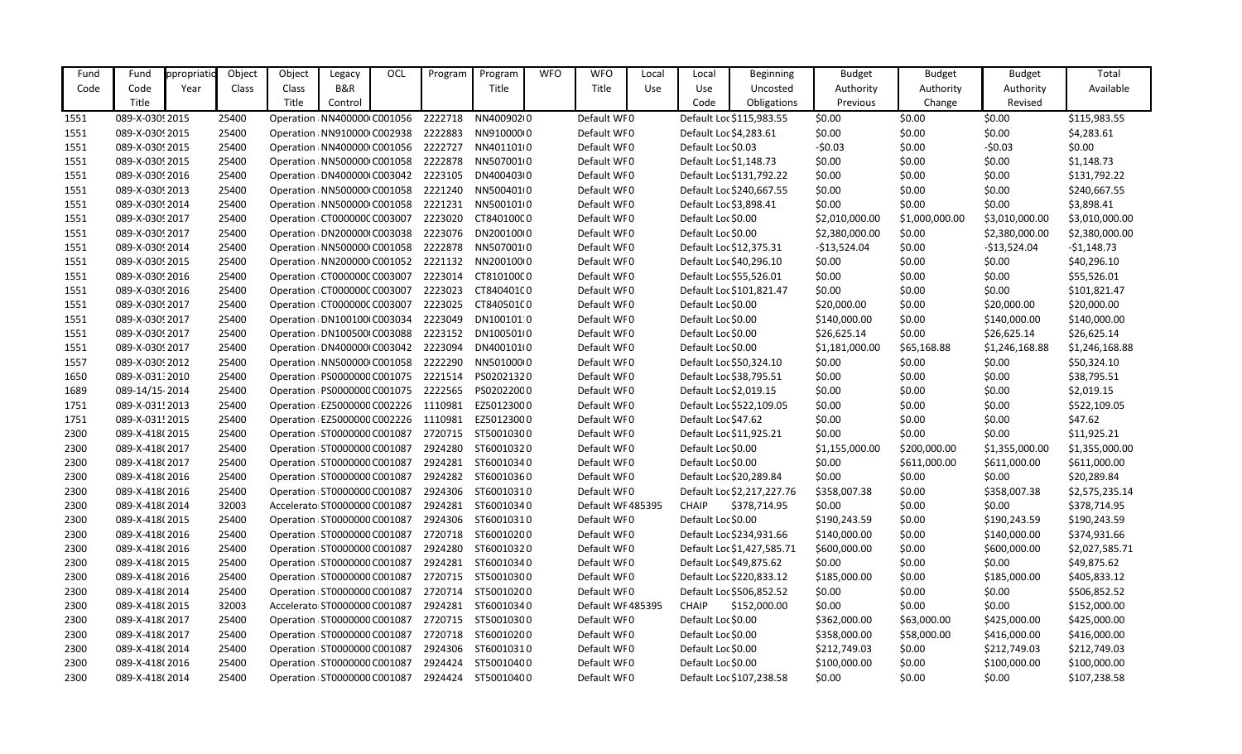| Fund | Fund            | ppropriatio | Object | Object | Legacy                        | OCL | Program | Program            | <b>WFO</b> | <b>WFO</b>        | Local | Local                  | <b>Beginning</b>           | <b>Budget</b>  | <b>Budget</b>  | <b>Budget</b>  | Total          |
|------|-----------------|-------------|--------|--------|-------------------------------|-----|---------|--------------------|------------|-------------------|-------|------------------------|----------------------------|----------------|----------------|----------------|----------------|
| Code | Code            | Year        | Class  | Class  | B&R                           |     |         | Title              |            | Title             | Use   | Use                    | Uncosted                   | Authority      | Authority      | Authority      | Available      |
|      | Title           |             |        | Title  | Control                       |     |         |                    |            |                   |       | Code                   | Obligations                | Previous       | Change         | Revised        |                |
| 1551 | 089-X-0309 2015 |             | 25400  |        | Operation: NN400000 C001056   |     | 2222718 | NN40090210         |            | Default WF0       |       |                        | Default Loc \$115,983.55   | \$0.00         | \$0.00         | \$0.00         | \$115,983.55   |
| 1551 | 089-X-03092015  |             | 25400  |        | Operation : NN910000 C002938  |     | 2222883 | NN91000010         |            | Default WF0       |       | Default Loc \$4,283.61 |                            | \$0.00         | \$0.00         | \$0.00         | \$4,283.61     |
| 1551 | 089-X-03092015  |             | 25400  |        | Operation : NN400000 C001056  |     | 2222727 | NN401101(0         |            | Default WF0       |       | Default Loc \$0.03     |                            | $-50.03$       | \$0.00         | $-50.03$       | \$0.00         |
| 1551 | 089-X-03092015  |             | 25400  |        | Operation : NN500000 C001058  |     | 2222878 | NN5070010          |            | Default WF0       |       | Default Loc \$1,148.73 |                            | \$0.00         | \$0.00         | \$0.00         | \$1,148.73     |
| 1551 | 089-X-0309 2016 |             | 25400  |        | Operation : DN400000 C003042  |     | 2223105 | DN400403(0         |            | Default WF0       |       |                        | Default Loc \$131,792.22   | \$0.00         | \$0.00         | \$0.00         | \$131,792.22   |
| 1551 | 089-X-03092013  |             | 25400  |        | Operation: NN500000 C001058   |     | 2221240 | NN500401(0         |            | Default WF0       |       |                        | Default Loc \$240,667.55   | \$0.00         | \$0.00         | \$0.00         | \$240,667.55   |
| 1551 | 089-X-0309 2014 |             | 25400  |        | Operation : NN500000 C001058  |     | 2221231 | NN5001010          |            | Default WF0       |       | Default Loc \$3,898.41 |                            | \$0.00         | \$0.00         | \$0.00         | \$3,898.41     |
| 1551 | 089-X-03092017  |             | 25400  |        | Operation : CT000000C C003007 |     | 2223020 | CT84010000         |            | Default WF0       |       | Default Loc \$0.00     |                            | \$2,010,000.00 | \$1,000,000.00 | \$3,010,000.00 | \$3,010,000.00 |
| 1551 | 089-X-03092017  |             | 25400  |        | Operation : DN200000 C003038  |     | 2223076 | DN200100(0         |            | Default WF0       |       | Default Loc \$0.00     |                            | \$2,380,000.00 | \$0.00         | \$2,380,000.00 | \$2,380,000.00 |
| 1551 | 089-X-03092014  |             | 25400  |        | Operation : NN500000 C001058  |     | 2222878 | NN507001(0         |            | Default WF0       |       |                        | Default Loc \$12,375.31    | $-$13,524.04$  | \$0.00         | $-$13,524.04$  | $-51,148.73$   |
| 1551 | 089-X-03092015  |             | 25400  |        | Operation : NN200000 C001052  |     | 2221132 | NN200100(0         |            | Default WF0       |       |                        | Default Loc \$40,296.10    | \$0.00         | \$0.00         | \$0.00         | \$40,296.10    |
| 1551 | 089-X-0309 2016 |             | 25400  |        | Operation: CT000000C C003007  |     | 2223014 | CT81010000         |            | Default WF0       |       |                        | Default Loc \$55,526.01    | \$0.00         | \$0.00         | \$0.00         | \$55,526.01    |
| 1551 | 089-X-0309 2016 |             | 25400  |        | Operation : CT000000C C003007 |     | 2223023 | CT84040100         |            | Default WF0       |       |                        | Default Loc \$101,821.47   | \$0.00         | \$0.00         | \$0.00         | \$101,821.47   |
| 1551 | 089-X-03092017  |             | 25400  |        | Operation : CT000000C C003007 |     | 2223025 | CT84050100         |            | Default WF0       |       | Default Loc \$0.00     |                            | \$20,000.00    | \$0.00         | \$20,000.00    | \$20,000.00    |
| 1551 | 089-X-03092017  |             | 25400  |        | Operation : DN100100 C003034  |     | 2223049 | DN100101:0         |            | Default WF0       |       | Default Loc \$0.00     |                            | \$140,000.00   | \$0.00         | \$140,000.00   | \$140,000.00   |
| 1551 | 089-X-03092017  |             | 25400  |        | Operation : DN100500 C003088  |     | 2223152 | DN100501(0         |            | Default WF0       |       | Default Loc \$0.00     |                            | \$26,625.14    | \$0.00         | \$26,625.14    | \$26,625.14    |
| 1551 | 089-X-0309 2017 |             | 25400  |        | Operation : DN400000 C003042  |     | 2223094 | DN400101(0         |            | Default WF0       |       | Default Loc \$0.00     |                            | \$1,181,000.00 | \$65,168.88    | \$1,246,168.88 | \$1,246,168.88 |
| 1557 | 089-X-03092012  |             | 25400  |        | Operation : NN500000 C001058  |     | 2222290 | NN501000(0         |            | Default WF0       |       |                        | Default Loc \$50,324.10    | \$0.00         | \$0.00         | \$0.00         | \$50,324.10    |
| 1650 | 089-X-031.2010  |             | 25400  |        | Operation: PS0000000 C001075  |     | 2221514 | PS02021320         |            | Default WF0       |       |                        | Default Loc \$38,795.51    | \$0.00         | \$0.00         | \$0.00         | \$38,795.51    |
| 1689 | 089-14/15-2014  |             | 25400  |        | Operation : PS0000000 C001075 |     | 2222565 | PS02022000         |            | Default WF0       |       | Default Loc \$2,019.15 |                            | \$0.00         | \$0.00         | \$0.00         | \$2,019.15     |
| 1751 | 089-X-031.2013  |             | 25400  |        | Operation : EZ5000000 C002226 |     | 1110981 | EZ50123000         |            | Default WF0       |       |                        | Default Loc \$522,109.05   | \$0.00         | \$0.00         | \$0.00         | \$522,109.05   |
| 1751 | 089-X-031.2015  |             | 25400  |        | Operation : EZ5000000 C002226 |     | 1110981 | EZ50123000         |            | Default WF0       |       | Default Loc \$47.62    |                            | \$0.00         | \$0.00         | \$0.00         | \$47.62        |
| 2300 | 089-X-418(2015  |             | 25400  |        | Operation : ST0000000 C001087 |     | 2720715 | ST50010300         |            | Default WF0       |       |                        | Default Loc \$11,925.21    | \$0.00         | \$0.00         | \$0.00         | \$11,925.21    |
| 2300 | 089-X-418(2017  |             | 25400  |        | Operation : ST0000000 C001087 |     | 2924280 | ST60010320         |            | Default WF0       |       | Default Loc \$0.00     |                            | \$1,155,000.00 | \$200,000.00   | \$1,355,000.00 | \$1,355,000.00 |
| 2300 | 089-X-418(2017  |             | 25400  |        | Operation : ST0000000 C001087 |     | 2924281 | ST60010340         |            | Default WF0       |       | Default Loc \$0.00     |                            | \$0.00         | \$611,000.00   | \$611,000.00   | \$611,000.00   |
| 2300 | 089-X-418(2016  |             | 25400  |        | Operation : ST0000000 C001087 |     | 2924282 | ST60010360         |            | Default WF0       |       |                        | Default Loc \$20,289.84    | \$0.00         | \$0.00         | \$0.00         | \$20,289.84    |
| 2300 | 089-X-418(2016  |             | 25400  |        | Operation ST0000000 C001087   |     | 2924306 | ST60010310         |            | Default WF0       |       |                        | Default Loc \$2,217,227.76 | \$358,007.38   | \$0.00         | \$358,007.38   | \$2,575,235.14 |
| 2300 | 089-X-418(2014  |             | 32003  |        | Accelerato ST0000000 C001087  |     | 2924281 | ST60010340         |            | Default WF485395  |       | <b>CHAIP</b>           | \$378,714.95               | \$0.00         | \$0.00         | \$0.00         | \$378,714.95   |
| 2300 | 089-X-418(2015  |             | 25400  |        | Operation : ST0000000 C001087 |     | 2924306 | ST60010310         |            | Default WF0       |       | Default Loc \$0.00     |                            | \$190,243.59   | \$0.00         | \$190,243.59   | \$190,243.59   |
| 2300 | 089-X-418(2016  |             | 25400  |        | Operation : ST0000000 C001087 |     | 2720718 | ST60010200         |            | Default WF0       |       |                        | Default Loc \$234,931.66   | \$140,000.00   | \$0.00         | \$140,000.00   | \$374,931.66   |
| 2300 | 089-X-418(2016  |             | 25400  |        | Operation : ST0000000 C001087 |     | 2924280 | ST60010320         |            | Default WF0       |       |                        | Default Loc \$1,427,585.71 | \$600,000.00   | \$0.00         | \$600,000.00   | \$2,027,585.71 |
| 2300 | 089-X-418(2015  |             | 25400  |        | Operation: ST0000000 C001087  |     | 2924281 | ST60010340         |            | Default WF0       |       |                        | Default Loc \$49,875.62    | \$0.00         | \$0.00         | \$0.00         | \$49,875.62    |
| 2300 | 089-X-418(2016  |             | 25400  |        | Operation : ST0000000 C001087 |     | 2720715 | ST50010300         |            | Default WF0       |       |                        | Default Loc \$220,833.12   | \$185,000.00   | \$0.00         | \$185,000.00   | \$405,833.12   |
| 2300 | 089-X-418(2014  |             | 25400  |        | Operation ST0000000 C001087   |     | 2720714 | ST50010200         |            | Default WF0       |       |                        | Default Loc \$506,852.52   | \$0.00         | \$0.00         | \$0.00         | \$506,852.52   |
| 2300 | 089-X-418(2015  |             | 32003  |        | Accelerato ST0000000 C001087  |     | 2924281 | ST60010340         |            | Default WF 485395 |       | <b>CHAIP</b>           | \$152,000.00               | \$0.00         | \$0.00         | \$0.00         | \$152,000.00   |
| 2300 | 089-X-418(2017  |             | 25400  |        | Operation ST0000000 C001087   |     | 2720715 | ST50010300         |            | Default WF0       |       | Default Loc \$0.00     |                            | \$362,000.00   | \$63,000.00    | \$425,000.00   | \$425,000.00   |
| 2300 | 089-X-418(2017  |             | 25400  |        | Operation : ST0000000 C001087 |     | 2720718 | ST60010200         |            | Default WF0       |       | Default Loc \$0.00     |                            | \$358,000.00   | \$58,000.00    | \$416,000.00   | \$416,000.00   |
| 2300 | 089-X-418(2014  |             | 25400  |        | Operation : ST0000000 C001087 |     | 2924306 | ST60010310         |            | Default WF0       |       | Default Loc \$0.00     |                            | \$212,749.03   | \$0.00         | \$212,749.03   | \$212,749.03   |
| 2300 | 089-X-418(2016  |             | 25400  |        | Operation : ST0000000 C001087 |     | 2924424 | ST50010400         |            | Default WF0       |       | Default Loc \$0.00     |                            | \$100,000.00   | \$0.00         | \$100,000.00   | \$100,000.00   |
| 2300 | 089-X-418(2014  |             | 25400  |        | Operation : ST0000000 C001087 |     |         | 2924424 ST50010400 |            | Default WF0       |       |                        | Default Loc \$107,238.58   | \$0.00         | \$0.00         | \$0.00         | \$107,238.58   |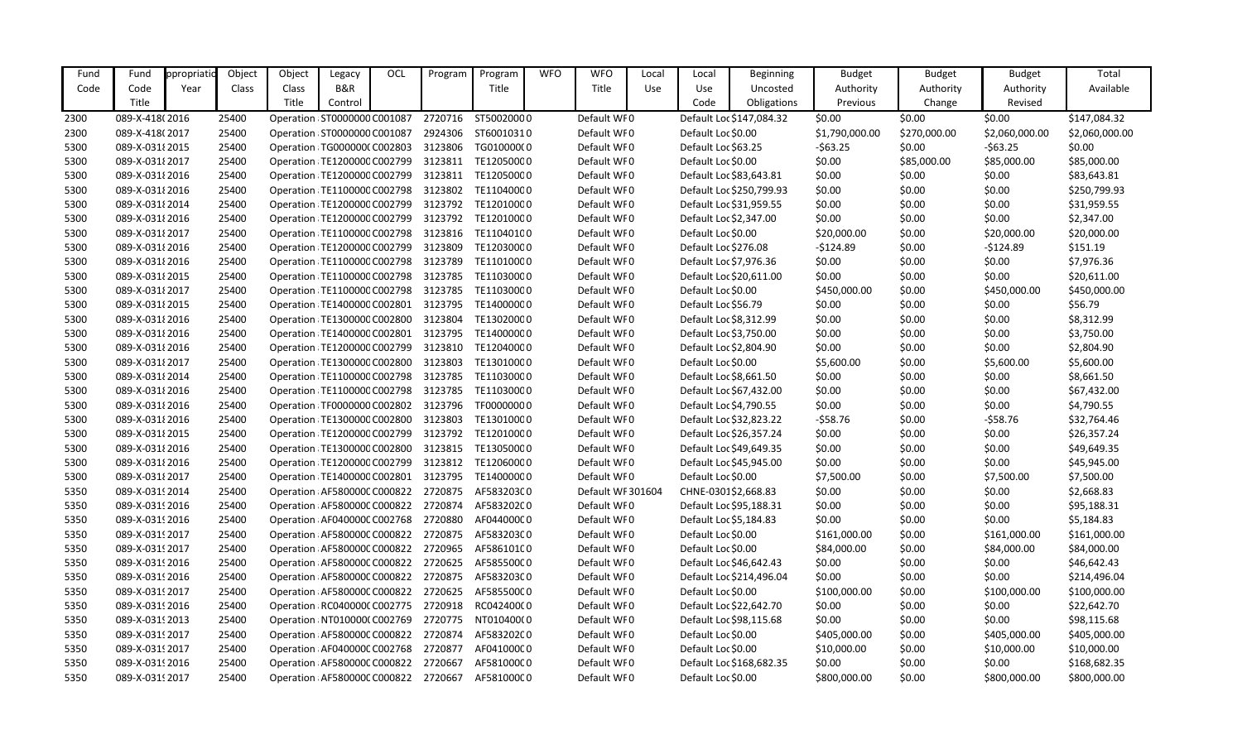| Fund | Fund            | ppropriati | Object | Object                        | Legacy  | OCL | Program | Program                                       | <b>WFO</b> | <b>WFO</b>        | Local | Local                  | <b>Beginning</b>         | <b>Budget</b>  | <b>Budget</b> | <b>Budget</b>  | Total          |
|------|-----------------|------------|--------|-------------------------------|---------|-----|---------|-----------------------------------------------|------------|-------------------|-------|------------------------|--------------------------|----------------|---------------|----------------|----------------|
| Code | Code            | Year       | Class  | Class                         | B&R     |     |         | Title                                         |            | Title             | Use   | Use                    | Uncosted                 | Authority      | Authority     | Authority      | Available      |
|      | Title           |            |        | Title                         | Control |     |         |                                               |            |                   |       | Code                   | Obligations              | Previous       | Change        | Revised        |                |
| 2300 | 089-X-418(2016  |            | 25400  | Operation : ST0000000 C001087 |         |     | 2720716 | ST50020000                                    |            | Default WF0       |       |                        | Default Loc \$147,084.32 | \$0.00         | \$0.00        | \$0.00         | \$147,084.32   |
| 2300 | 089-X-418(2017  |            | 25400  | Operation : ST0000000 C001087 |         |     | 2924306 | ST60010310                                    |            | Default WF0       |       | Default Loc \$0.00     |                          | \$1,790,000.00 | \$270,000.00  | \$2,060,000.00 | \$2,060,000.00 |
| 5300 | 089-X-031 {2015 |            | 25400  | Operation: TG000000(C002803   |         |     | 3123806 | TG01000000                                    |            | Default WF0       |       | Default Loc \$63.25    |                          | $-563.25$      | \$0.00        | $-563.25$      | \$0.00         |
| 5300 | 089-X-03182017  |            | 25400  | Operation : TE1200000 C002799 |         |     | 3123811 | TE12050000                                    |            | Default WF0       |       | Default Loc \$0.00     |                          | \$0.00         | \$85,000.00   | \$85,000.00    | \$85,000.00    |
| 5300 | 089-X-031 2016  |            | 25400  | Operation : TE1200000 C002799 |         |     | 3123811 | TE12050000                                    |            | Default WF0       |       |                        | Default Loc \$83,643.81  | \$0.00         | \$0.00        | \$0.00         | \$83,643.81    |
| 5300 | 089-X-031 2016  |            | 25400  | Operation / TE1100000 C002798 |         |     | 3123802 | TE11040000                                    |            | Default WF0       |       |                        | Default Loc \$250,799.93 | \$0.00         | \$0.00        | \$0.00         | \$250,799.93   |
| 5300 | 089-X-03182014  |            | 25400  | Operation : TE1200000 C002799 |         |     | 3123792 | TE12010000                                    |            | Default WF0       |       |                        | Default Loc \$31,959.55  | \$0.00         | \$0.00        | \$0.00         | \$31,959.55    |
| 5300 | 089-X-031 2016  |            | 25400  | Operation : TE1200000 C002799 |         |     | 3123792 | TE12010000                                    |            | Default WF0       |       | Default Loc \$2,347.00 |                          | \$0.00         | \$0.00        | \$0.00         | \$2,347.00     |
| 5300 | 089-X-031 {2017 |            | 25400  | Operation : TE1100000 C002798 |         |     | 3123816 | TE11040100                                    |            | Default WF0       |       | Default Loc \$0.00     |                          | \$20,000.00    | \$0.00        | \$20,000.00    | \$20,000.00    |
| 5300 | 089-X-031 2016  |            | 25400  | Operation: TE1200000 C002799  |         |     | 3123809 | TE12030000                                    |            | Default WF0       |       | Default Loc \$276.08   |                          | $-5124.89$     | \$0.00        | $-$124.89$     | \$151.19       |
| 5300 | 089-X-031 2016  |            | 25400  | Operation : TE1100000 C002798 |         |     | 3123789 | TE11010000                                    |            | Default WF0       |       | Default Loc \$7,976.36 |                          | \$0.00         | \$0.00        | \$0.00         | \$7,976.36     |
| 5300 | 089-X-031 {2015 |            | 25400  | Operation : TE1100000 C002798 |         |     | 3123785 | TE11030000                                    |            | Default WF0       |       |                        | Default Loc \$20,611.00  | \$0.00         | \$0.00        | \$0.00         | \$20,611.00    |
| 5300 | 089-X-031 2017  |            | 25400  | Operation : TE1100000 C002798 |         |     | 3123785 | TE11030000                                    |            | Default WF0       |       | Default Loc \$0.00     |                          | \$450,000.00   | \$0.00        | \$450,000.00   | \$450,000.00   |
| 5300 | 089-X-031 {2015 |            | 25400  | Operation : TE1400000 C002801 |         |     | 3123795 | TE14000000                                    |            | Default WF0       |       | Default Loc \$56.79    |                          | \$0.00         | \$0.00        | \$0.00         | \$56.79        |
| 5300 | 089-X-031 2016  |            | 25400  | Operation : TE1300000 C002800 |         |     | 3123804 | TE13020000                                    |            | Default WF0       |       | Default Loc \$8,312.99 |                          | \$0.00         | \$0.00        | \$0.00         | \$8,312.99     |
| 5300 | 089-X-031 2016  |            | 25400  | Operation : TE1400000 C002801 |         |     | 3123795 | TE14000000                                    |            | Default WF0       |       | Default Loc \$3,750.00 |                          | \$0.00         | \$0.00        | \$0.00         | \$3,750.00     |
| 5300 | 089-X-031 2016  |            | 25400  | Operation: TE1200000 C002799  |         |     | 3123810 | TE12040000                                    |            | Default WF0       |       | Default Loc \$2,804.90 |                          | \$0.00         | \$0.00        | \$0.00         | \$2,804.90     |
| 5300 | 089-X-031 2017  |            | 25400  | Operation : TE1300000 C002800 |         |     | 3123803 | TE13010000                                    |            | Default WF0       |       | Default Loc \$0.00     |                          | \$5,600.00     | \$0.00        | \$5,600.00     | \$5,600.00     |
| 5300 | 089-X-031 {2014 |            | 25400  | Operation : TE1100000 C002798 |         |     | 3123785 | TE11030000                                    |            | Default WF0       |       | Default Loc \$8,661.50 |                          | \$0.00         | \$0.00        | \$0.00         | \$8,661.50     |
| 5300 | 089-X-031 2016  |            | 25400  | Operation : TE1100000 C002798 |         |     | 3123785 | TE11030000                                    |            | Default WF0       |       |                        | Default Loc \$67,432.00  | \$0.00         | \$0.00        | \$0.00         | \$67,432.00    |
| 5300 | 089-X-031 2016  |            | 25400  | Operation : TF0000000 C002802 |         |     | 3123796 | TF00000000                                    |            | Default WF0       |       | Default Loc \$4,790.55 |                          | \$0.00         | \$0.00        | \$0.00         | \$4,790.55     |
| 5300 | 089-X-031 2016  |            | 25400  | Operation : TE1300000 C002800 |         |     | 3123803 | TE13010000                                    |            | Default WF0       |       |                        | Default Loc \$32,823.22  | $-$ \$58.76    | \$0.00        | $-558.76$      | \$32,764.46    |
| 5300 | 089-X-031 {2015 |            | 25400  | Operation : TE1200000 C002799 |         |     | 3123792 | TE12010000                                    |            | Default WF0       |       |                        | Default Loc \$26,357.24  | \$0.00         | \$0.00        | \$0.00         | \$26,357.24    |
| 5300 | 089-X-031 2016  |            | 25400  | Operation : TE1300000 C002800 |         |     | 3123815 | TE13050000                                    |            | Default WF0       |       |                        | Default Loc \$49,649.35  | \$0.00         | \$0.00        | \$0.00         | \$49,649.35    |
| 5300 | 089-X-031 2016  |            | 25400  | Operation : TE1200000 C002799 |         |     | 3123812 | TE12060000                                    |            | Default WF0       |       |                        | Default Loc \$45,945.00  | \$0.00         | \$0.00        | \$0.00         | \$45,945.00    |
| 5300 | 089-X-03182017  |            | 25400  | Operation : TE1400000 C002801 |         |     | 3123795 | TE14000000                                    |            | Default WF0       |       | Default Loc \$0.00     |                          | \$7,500.00     | \$0.00        | \$7,500.00     | \$7,500.00     |
| 5350 | 089-X-0319 2014 |            | 25400  | Operation: AF580000C C000822  |         |     | 2720875 | AF58320300                                    |            | Default WF 301604 |       | CHNE-0301\$2,668.83    |                          | \$0.00         | \$0.00        | \$0.00         | \$2,668.83     |
| 5350 | 089-X-0319 2016 |            | 25400  | Operation: AF580000C C000822  |         |     | 2720874 | AF58320200                                    |            | Default WF0       |       |                        | Default Loc \$95,188.31  | \$0.00         | \$0.00        | \$0.00         | \$95,188.31    |
| 5350 | 089-X-0319 2016 |            | 25400  |                               |         |     |         | Operation AF040000CC002768 2720880 AF044000C0 |            | Default WF0       |       | Default Loc \$5,184.83 |                          | \$0.00         | \$0.00        | \$0.00         | \$5,184.83     |
| 5350 | 089-X-03192017  |            | 25400  | Operation: AF580000C C000822  |         |     | 2720875 | AF58320300                                    |            | Default WF0       |       | Default Loc \$0.00     |                          | \$161,000.00   | \$0.00        | \$161,000.00   | \$161,000.00   |
| 5350 | 089-X-03192017  |            | 25400  | Operation: AF580000C C000822  |         |     | 2720965 | AF58610100                                    |            | Default WF0       |       | Default Loc \$0.00     |                          | \$84,000.00    | \$0.00        | \$84,000.00    | \$84,000.00    |
| 5350 | 089-X-03192016  |            | 25400  | Operation: AF580000C C000822  |         |     | 2720625 | AF58550000                                    |            | Default WF0       |       |                        | Default Loc \$46,642.43  | \$0.00         | \$0.00        | \$0.00         | \$46,642.43    |
| 5350 | 089-X-03192016  |            | 25400  | Operation: AF580000C C000822  |         |     | 2720875 | AF58320300                                    |            | Default WF0       |       |                        | Default Loc \$214,496.04 | \$0.00         | \$0.00        | \$0.00         | \$214,496.04   |
| 5350 | 089-X-03192017  |            | 25400  | Operation: AF580000C C000822  |         |     | 2720625 | AF58550000                                    |            | Default WF0       |       | Default Loc \$0.00     |                          | \$100,000.00   | \$0.00        | \$100,000.00   | \$100,000.00   |
| 5350 | 089-X-03192016  |            | 25400  | Operation: RC040000C C002775  |         |     | 2720918 | RC04240000                                    |            | Default WF0       |       |                        | Default Loc \$22,642.70  | \$0.00         | \$0.00        | \$0.00         | \$22,642.70    |
| 5350 | 089-X-03192013  |            | 25400  | Operation : NT010000(C002769  |         |     | 2720775 | NT010400(0                                    |            | Default WF0       |       |                        | Default Loc \$98,115.68  | \$0.00         | \$0.00        | \$0.00         | \$98,115.68    |
| 5350 | 089-X-03192017  |            | 25400  | Operation: AF580000C C000822  |         |     | 2720874 | AF58320200                                    |            | Default WF0       |       | Default Loc \$0.00     |                          | \$405,000.00   | \$0.00        | \$405,000.00   | \$405,000.00   |
| 5350 | 089-X-03192017  |            | 25400  | Operation: AF040000C C002768  |         |     | 2720877 | AF04100000                                    |            | Default WF0       |       | Default Loc \$0.00     |                          | \$10,000.00    | \$0.00        | \$10,000.00    | \$10,000.00    |
| 5350 | 089-X-03192016  |            | 25400  | Operation: AF580000C C000822  |         |     | 2720667 | AF58100000                                    |            | Default WF0       |       |                        | Default Loc \$168,682.35 | \$0.00         | \$0.00        | \$0.00         | \$168,682.35   |
| 5350 | 089-X-03192017  |            | 25400  | Operation: AF580000C C000822  |         |     | 2720667 | AF58100000                                    |            | Default WF0       |       | Default Loc \$0.00     |                          | \$800,000.00   | \$0.00        | \$800,000.00   | \$800,000.00   |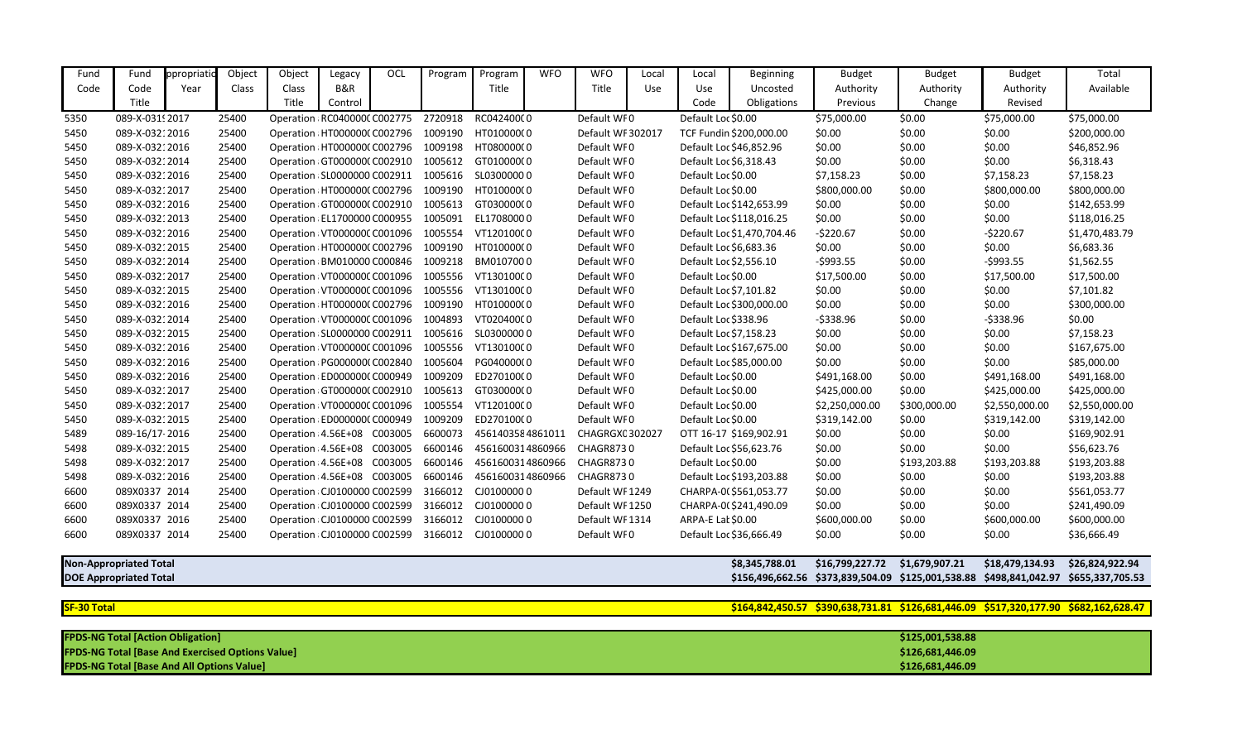| Fund                                                           | Fund           | ppropriatio | Object | Object | Legacy                        | OCL | Program | Program          | <b>WFO</b> | <b>WFO</b>        | Local          | Local                  | <b>Beginning</b>           | <b>Budget</b>   | <b>Budget</b>                                                       | <b>Budget</b>  | Total                                                                                |
|----------------------------------------------------------------|----------------|-------------|--------|--------|-------------------------------|-----|---------|------------------|------------|-------------------|----------------|------------------------|----------------------------|-----------------|---------------------------------------------------------------------|----------------|--------------------------------------------------------------------------------------|
| Code                                                           | Code           | Year        | Class  | Class  | B&R                           |     |         | Title            |            | Title             | Use            | <b>Use</b>             | Uncosted                   | Authority       | Authority                                                           | Authority      | Available                                                                            |
|                                                                | Title          |             |        | Title  | Control                       |     |         |                  |            |                   |                | Code                   | Obligations                | Previous        | Change                                                              | Revised        |                                                                                      |
| 5350                                                           | 089-X-03192017 |             | 25400  |        | Operation RC040000CC002775    |     | 2720918 | RC04240000       |            | Default WF0       |                | Default Loc \$0.00     |                            | \$75,000.00     | \$0.00                                                              | \$75,000.00    | \$75,000.00                                                                          |
| 5450                                                           | 089-X-03212016 |             | 25400  |        | Operation HT0000000 C002796   |     | 1009190 | HT010000(0       |            | Default WF 302017 |                |                        | TCF Fundin \$200,000.00    | \$0.00          | \$0.00                                                              | \$0.00         | \$200,000.00                                                                         |
| 5450                                                           | 089-X-03212016 |             | 25400  |        | Operation: HT000000(C002796   |     | 1009198 | HT08000000       |            | Default WF0       |                |                        | Default Loc \$46,852.96    | \$0.00          | \$0.00                                                              | \$0.00         | \$46,852.96                                                                          |
| 5450                                                           | 089-X-03212014 |             | 25400  |        | Operation GT000000(C002910    |     | 1005612 | GT01000000       |            | Default WF0       |                | Default Loc \$6,318.43 |                            | \$0.00          | \$0.00                                                              | \$0.00         | \$6,318.43                                                                           |
| 5450                                                           | 089-X-03212016 |             | 25400  |        | Operation : SL0000000 C002911 |     | 1005616 | SL03000000       |            | Default WF0       |                | Default Loc \$0.00     |                            | \$7,158.23      | \$0.00                                                              | \$7,158.23     | \$7,158.23                                                                           |
| 5450                                                           | 089-X-03212017 |             | 25400  |        | Operation HT0000000 C002796   |     | 1009190 | HT01000000       |            | Default WF0       |                | Default Loc \$0.00     |                            | \$800,000.00    | \$0.00                                                              | \$800,000.00   | \$800,000.00                                                                         |
| 5450                                                           | 089-X-03212016 |             | 25400  |        | Operation GT000000(C002910    |     | 1005613 | GT03000000       |            | Default WF0       |                |                        | Default Loc \$142,653.99   | \$0.00          | \$0.00                                                              | \$0.00         | \$142,653.99                                                                         |
| 5450                                                           | 089-X-03212013 |             | 25400  |        | Operation : EL1700000 C000955 |     | 1005091 | EL17080000       |            | Default WF0       |                |                        | Default Loc \$118,016.25   | \$0.00          | \$0.00                                                              | \$0.00         | \$118,016.25                                                                         |
| 5450                                                           | 089-X-03212016 |             | 25400  |        | Operation: VT000000C C001096  |     | 1005554 | VT12010000       |            | Default WF0       |                |                        | Default Loc \$1,470,704.46 | $-5220.67$      | \$0.00                                                              | $-5220.67$     | \$1,470,483.79                                                                       |
| 5450                                                           | 089-X-03212015 |             | 25400  |        | Operation HT0000000 C002796   |     | 1009190 | HT010000(0       |            | Default WF0       |                | Default Loc \$6,683.36 |                            | \$0.00          | \$0.00                                                              | \$0.00         | \$6,683.36                                                                           |
| 5450                                                           | 089-X-03212014 |             | 25400  |        | Operation: BM010000 C000846   |     | 1009218 | BM0107000        |            | Default WF0       |                | Default Loc \$2,556.10 |                            | $-5993.55$      | \$0.00                                                              | $-5993.55$     | \$1,562.55                                                                           |
| 5450                                                           | 089-X-03212017 |             | 25400  |        | Operation VT000000CC001096    |     | 1005556 | VT13010000       |            | Default WF0       |                | Default Loc \$0.00     |                            | \$17,500.00     | \$0.00                                                              | \$17,500.00    | \$17,500.00                                                                          |
| 5450                                                           | 089-X-03212015 |             | 25400  |        | Operation VT000000CC001096    |     | 1005556 | VT13010000       |            | Default WF0       |                |                        | Default Loc \$7,101.82     | \$0.00          | \$0.00                                                              | \$0.00         | \$7,101.82                                                                           |
| 5450                                                           | 089-X-03212016 |             | 25400  |        | Operation: HT000000(C002796   |     | 1009190 | HT010000(0       |            | Default WF0       |                |                        | Default Loc \$300,000.00   | \$0.00          | \$0.00                                                              | \$0.00         | \$300,000.00                                                                         |
| 5450                                                           | 089-X-03212014 |             | 25400  |        | Operation: VT000000C C001096  |     | 1004893 | VT02040000       |            | Default WF0       |                | Default Loc \$338.96   |                            | $-5338.96$      | \$0.00                                                              | $-5338.96$     | \$0.00                                                                               |
| 5450                                                           | 089-X-03212015 |             | 25400  |        | Operation: SL0000000 C002911  |     | 1005616 | SL03000000       |            | Default WF0       |                | Default Loc \$7,158.23 |                            | \$0.00          | \$0.00                                                              | \$0.00         | \$7,158.23                                                                           |
| 5450                                                           | 089-X-03212016 |             | 25400  |        | Operation: VT000000C C001096  |     | 1005556 | VT13010000       |            | Default WF0       |                |                        | Default Loc \$167,675.00   | \$0.00          | \$0.00                                                              | \$0.00         | \$167,675.00                                                                         |
| 5450                                                           | 089-X-03212016 |             | 25400  |        | Operation: PG000000(C002840   |     | 1005604 | PG040000(0       |            | Default WF0       |                |                        | Default Loc \$85,000.00    | \$0.00          | \$0.00                                                              | \$0.00         | \$85,000.00                                                                          |
| 5450                                                           | 089-X-03212016 |             | 25400  |        | Operation ED0000000 C000949   |     | 1009209 | ED270100(0       |            | Default WF0       |                | Default Loc \$0.00     |                            | \$491,168.00    | \$0.00                                                              | \$491,168.00   | \$491,168.00                                                                         |
| 5450                                                           | 089-X-03212017 |             | 25400  |        | Operation GT000000(C002910    |     | 1005613 | GT03000000       |            | Default WF0       |                | Default Loc \$0.00     |                            | \$425,000.00    | \$0.00                                                              | \$425,000.00   | \$425,000.00                                                                         |
| 5450                                                           | 089-X-03212017 |             | 25400  |        | Operation: VT000000C C001096  |     | 1005554 | VT12010000       |            | Default WF0       |                | Default Loc \$0.00     |                            | \$2,250,000.00  | \$300,000.00                                                        | \$2,550,000.00 | \$2,550,000.00                                                                       |
| 5450                                                           | 089-X-03212015 |             | 25400  |        | Operation ED0000000 C000949   |     | 1009209 | ED270100(0       |            | Default WF0       |                | Default Loc \$0.00     |                            | \$319,142.00    | \$0.00                                                              | \$319,142.00   | \$319,142.00                                                                         |
| 5489                                                           | 089-16/17-2016 |             | 25400  |        | Operation: 4.56E+08 C003005   |     | 6600073 | 4561403584861011 |            | CHAGRGXC 302027   |                |                        | OTT 16-17 \$169,902.91     | \$0.00          | \$0.00                                                              | \$0.00         | \$169,902.91                                                                         |
| 5498                                                           | 089-X-03212015 |             | 25400  |        | Operation : 4.56E+08 C003005  |     | 6600146 | 4561600314860966 |            | CHAGR8730         |                |                        | Default Loc \$56,623.76    | \$0.00          | \$0.00                                                              | \$0.00         | \$56,623.76                                                                          |
| 5498                                                           | 089-X-03212017 |             | 25400  |        | Operation: 4.56E+08 C003005   |     | 6600146 | 4561600314860966 |            | <b>CHAGR8730</b>  |                | Default Loc \$0.00     |                            | \$0.00          | \$193,203.88                                                        | \$193,203.88   | \$193,203.88                                                                         |
| 5498                                                           | 089-X-03212016 |             | 25400  |        | Operation: 4.56E+08 C003005   |     | 6600146 | 4561600314860966 |            | <b>CHAGR8730</b>  |                |                        | Default Loc \$193,203.88   | \$0.00          | \$0.00                                                              | \$0.00         | \$193,203.88                                                                         |
| 6600                                                           | 089X0337 2014  |             | 25400  |        | Operation : CJ0100000 C002599 |     | 3166012 | CJ01000000       |            | Default WF 1249   |                |                        | CHARPA-0(\$561,053.77      | \$0.00          | \$0.00                                                              | \$0.00         | \$561,053.77                                                                         |
| 6600                                                           | 089X0337 2014  |             | 25400  |        | Operation : CJ0100000 C002599 |     | 3166012 | CJ01000000       |            | Default WF 1250   |                |                        | CHARPA-0(\$241,490.09      | \$0.00          | \$0.00                                                              | \$0.00         | \$241,490.09                                                                         |
| 6600                                                           | 089X0337 2016  |             | 25400  |        | Operation : CJ0100000 C002599 |     | 3166012 | CJ01000000       |            | Default WF 1314   |                | ARPA-E Lat \$0.00      |                            | \$600,000.00    | \$0.00                                                              | \$600,000.00   | \$600,000.00                                                                         |
| 6600                                                           | 089X0337 2014  |             | 25400  |        | Operation : CJ0100000 C002599 |     | 3166012 | CJ01000000       |            | Default WF0       |                |                        | Default Loc \$36,666.49    | \$0.00          | \$0.00                                                              | \$0.00         | \$36,666.49                                                                          |
|                                                                |                |             |        |        |                               |     |         |                  |            |                   |                |                        |                            |                 |                                                                     |                |                                                                                      |
| <b>Non-Appropriated Total</b><br><b>DOE Appropriated Total</b> |                |             |        |        |                               |     |         |                  |            |                   | \$8,345,788.01 | \$16,799,227.72        | \$1,679,907.21             | \$18,479,134.93 | \$26,824,922.94                                                     |                |                                                                                      |
|                                                                |                |             |        |        |                               |     |         |                  |            |                   |                |                        |                            |                 | \$156,496,662.56 \$373,839,504.09 \$125,001,538.88 \$498,841,042.97 |                | \$655,337,705.53                                                                     |
|                                                                |                |             |        |        |                               |     |         |                  |            |                   |                |                        |                            |                 |                                                                     |                |                                                                                      |
| <b>SF-30 Total</b>                                             |                |             |        |        |                               |     |         |                  |            |                   |                |                        |                            |                 |                                                                     |                | \$164,842,450.57 \$390,638,731.81 \$126,681,446.09 \$517,320,177.90 \$682,162,628.47 |

| <b>SF-30 Total</b>                                      | \$164,842,450.57 \$390,638,731.81 \$126,681,446.09 |
|---------------------------------------------------------|----------------------------------------------------|
|                                                         |                                                    |
| <b>FPDS-NG Total [Action Obligation]</b>                | \$125,001,538.88                                   |
| <b>FPDS-NG Total [Base And Exercised Options Value]</b> | \$126,681,446.09                                   |
| <b>FPDS-NG Total [Base And All Options Value]</b>       | \$126,681,446.09                                   |